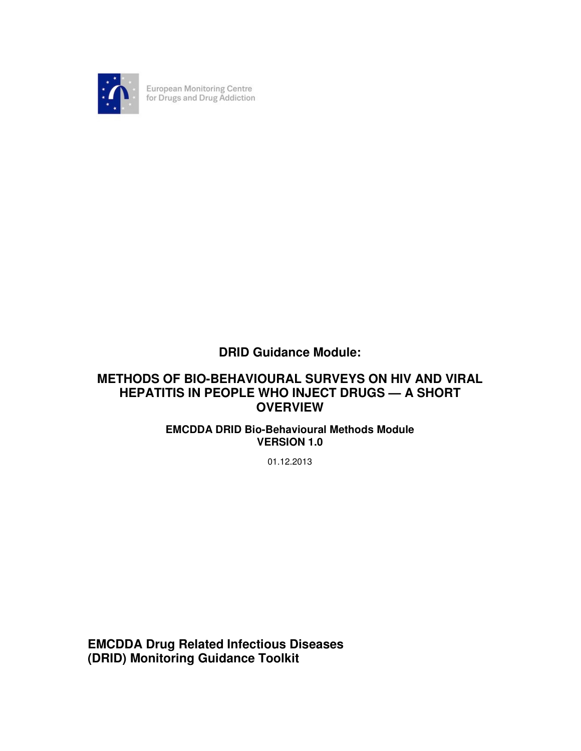

European Monitoring Centre<br>for Drugs and Drug Addiction

# **DRID Guidance Module:**

# **METHODS OF BIO-BEHAVIOURAL SURVEYS ON HIV AND VIRAL HEPATITIS IN PEOPLE WHO INJECT DRUGS — A SHORT OVERVIEW**

# **EMCDDA DRID Bio-Behavioural Methods Module VERSION 1.0**

01.12.2013

**EMCDDA Drug Related Infectious Diseases (DRID) Monitoring Guidance Toolkit**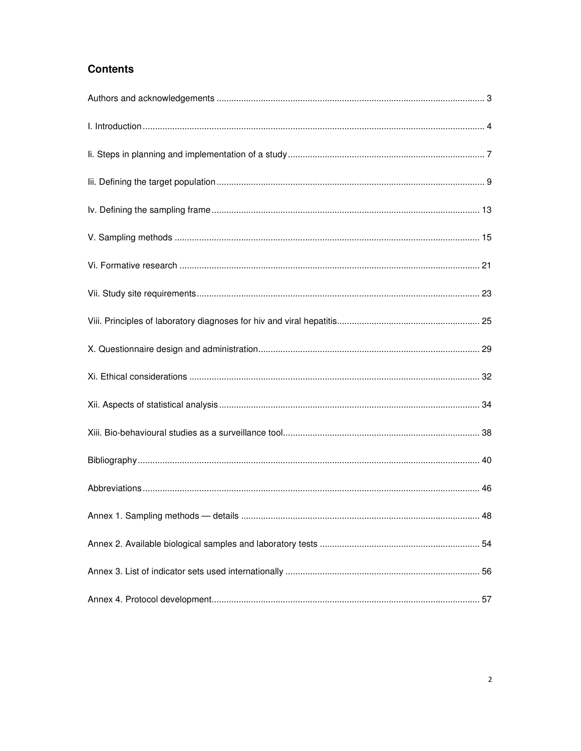# **Contents**

| 48 |
|----|
|    |
|    |
|    |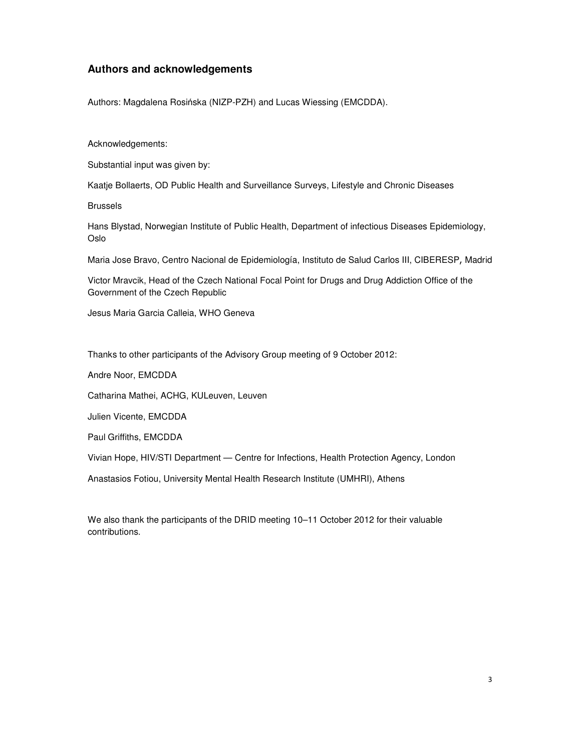# **Authors and acknowledgements**

Authors: Magdalena Rosińska (NIZP-PZH) and Lucas Wiessing (EMCDDA).

Acknowledgements:

Substantial input was given by:

Kaatje Bollaerts, OD Public Health and Surveillance Surveys, Lifestyle and Chronic Diseases

Brussels

Hans Blystad, Norwegian Institute of Public Health, Department of infectious Diseases Epidemiology, Oslo

Maria Jose Bravo, Centro Nacional de Epidemiología, Instituto de Salud Carlos III, CIBERESP, Madrid

Victor Mravcik, Head of the Czech National Focal Point for Drugs and Drug Addiction Office of the Government of the Czech Republic

Jesus Maria Garcia Calleia, WHO Geneva

Thanks to other participants of the Advisory Group meeting of 9 October 2012:

Andre Noor, EMCDDA

Catharina Mathei, ACHG, KULeuven, Leuven

Julien Vicente, EMCDDA

Paul Griffiths, EMCDDA

Vivian Hope, HIV/STI Department — Centre for Infections, Health Protection Agency, London

Anastasios Fotiou, University Mental Health Research Institute (UMHRI), Athens

We also thank the participants of the DRID meeting 10–11 October 2012 for their valuable contributions.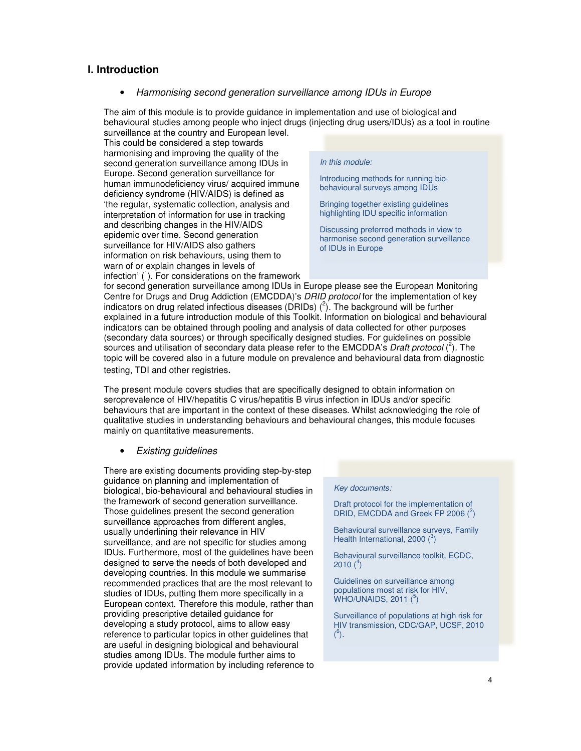### **I. Introduction**

• Harmonising second generation surveillance among IDUs in Europe

The aim of this module is to provide guidance in implementation and use of biological and behavioural studies among people who inject drugs (injecting drug users/IDUs) as a tool in routine surveillance at the country and European level.

This could be considered a step towards harmonising and improving the quality of the second generation surveillance among IDUs in Europe. Second generation surveillance for human immunodeficiency virus/ acquired immune deficiency syndrome (HIV/AIDS) is defined as 'the regular, systematic collection, analysis and interpretation of information for use in tracking and describing changes in the HIV/AIDS epidemic over time. Second generation surveillance for HIV/AIDS also gathers information on risk behaviours, using them to warn of or explain changes in levels of infection'  $(1)$ . For considerations on the framework

#### In this module:

Introducing methods for running biobehavioural surveys among IDUs

Bringing together existing guidelines highlighting IDU specific information

Discussing preferred methods in view to harmonise second generation surveillance of IDUs in Europe

for second generation surveillance among IDUs in Europe please see the European Monitoring Centre for Drugs and Drug Addiction (EMCDDA)'s DRID protocol for the implementation of key indicators on drug related infectious diseases (DRIDs)  $(^2)$ . The background will be further explained in a future introduction module of this Toolkit. Information on biological and behavioural indicators can be obtained through pooling and analysis of data collected for other purposes (secondary data sources) or through specifically designed studies. For guidelines on possible sources and utilisation of secondary data please refer to the EMCDDA's Draft protocol  $(^2)$ . The topic will be covered also in a future module on prevalence and behavioural data from diagnostic testing, TDI and other registries.

The present module covers studies that are specifically designed to obtain information on seroprevalence of HIV/hepatitis C virus/hepatitis B virus infection in IDUs and/or specific behaviours that are important in the context of these diseases. Whilst acknowledging the role of qualitative studies in understanding behaviours and behavioural changes, this module focuses mainly on quantitative measurements.

### • Existing guidelines

There are existing documents providing step-by-step guidance on planning and implementation of biological, bio-behavioural and behavioural studies in the framework of second generation surveillance. Those guidelines present the second generation surveillance approaches from different angles, usually underlining their relevance in HIV surveillance, and are not specific for studies among IDUs. Furthermore, most of the guidelines have been designed to serve the needs of both developed and developing countries. In this module we summarise recommended practices that are the most relevant to studies of IDUs, putting them more specifically in a European context. Therefore this module, rather than providing prescriptive detailed guidance for developing a study protocol, aims to allow easy reference to particular topics in other guidelines that are useful in designing biological and behavioural studies among IDUs. The module further aims to provide updated information by including reference to

#### Key documents:

Draft protocol for the implementation of DRID, EMCDDA and Greek FP 2006 $(^2)$ 

Behavioural surveillance surveys, Family Health International, 2000 $(^3)$ 

Behavioural surveillance toolkit, ECDC, 2010  $(^4)$ 

Guidelines on surveillance among populations most at risk for HIV,  $W$ HO/UNAIDS, 2011 $(5)$ 

Surveillance of populations at high risk for HIV transmission, CDC/GAP, UCSF, 2010  $^{6}$ ).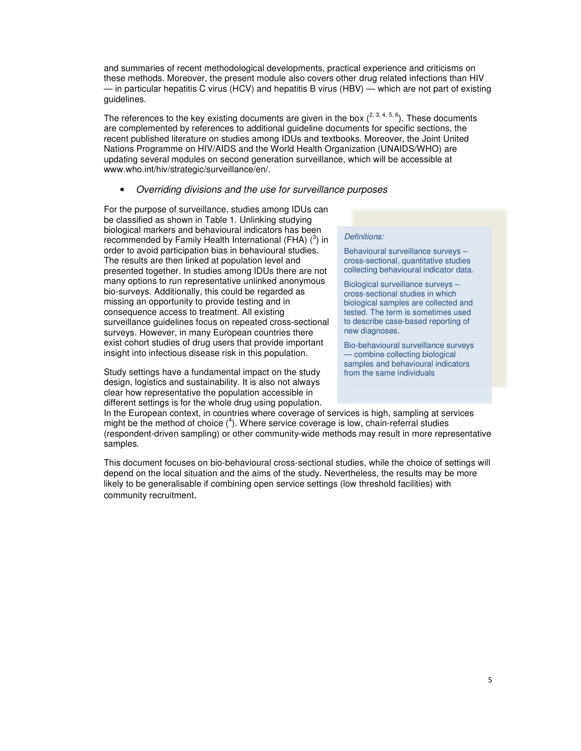and summaries of recent methodological developments, practical experience and criticisms on these methods. Moreover, the present module also covers other drug related infections than HIV — in particular hepatitis C virus (HCV) and hepatitis B virus (HBV) — which are not part of existing guidelines.

The references to the key existing documents are given in the box  $(2, 3, 4, 5, 6)$ . These documents are complemented by references to additional guideline documents for specific sections, the recent published literature on studies among IDUs and textbooks. Moreover, the Joint United Nations Programme on HIV/AIDS and the World Health Organization (UNAIDS/WHO) are updating several modules on second generation surveillance, which will be accessible at www.who.int/hiv/strategic/surveillance/en/.

#### • Overriding divisions and the use for surveillance purposes

For the purpose of surveillance, studies among IDUs can be classified as shown in Table 1. Unlinking studying biological markers and behavioural indicators has been recommended by Family Health International (FHA)  $(^3)$  in order to avoid participation bias in behavioural studies. The results are then linked at population level and presented together. In studies among IDUs there are not many options to run representative unlinked anonymous bio-surveys. Additionally, this could be regarded as missing an opportunity to provide testing and in consequence access to treatment. All existing surveillance guidelines focus on repeated cross-sectional surveys. However, in many European countries there exist cohort studies of drug users that provide important insight into infectious disease risk in this population.

Study settings have a fundamental impact on the study design, logistics and sustainability. It is also not always clear how representative the population accessible in different settings is for the whole drug using population.

#### Definitions:

Behavioural surveillance surveys – cross-sectional, quantitative studies collecting behavioural indicator data.

Biological surveillance surveys – cross-sectional studies in which biological samples are collected and tested. The term is sometimes used to describe case-based reporting of new diagnoses.

Bio-behavioural surveillance surveys — combine collecting biological samples and behavioural indicators from the same individuals

In the European context, in countries where coverage of services is high, sampling at services might be the method of choice  $(4)$ . Where service coverage is low, chain-referral studies (respondent-driven sampling) or other community-wide methods may result in more representative samples.

This document focuses on bio-behavioural cross-sectional studies, while the choice of settings will depend on the local situation and the aims of the study. Nevertheless, the results may be more likely to be generalisable if combining open service settings (low threshold facilities) with community recruitment.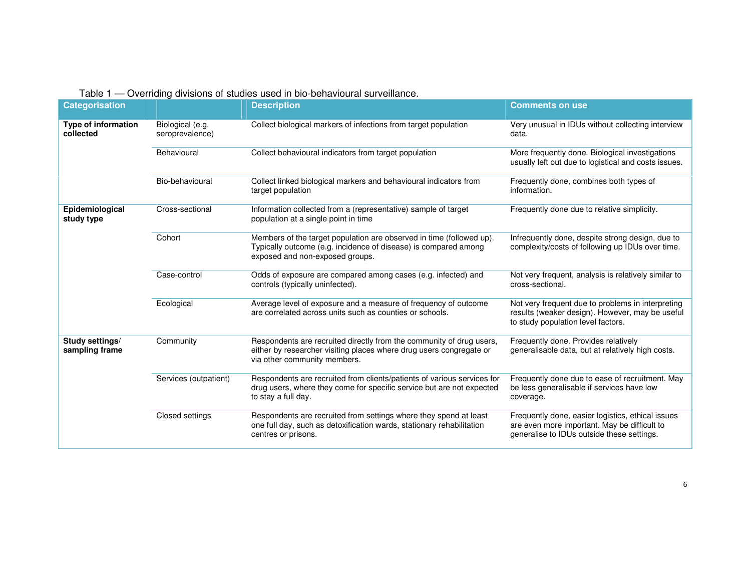| Table 1 — Overriding divisions of studies used in bio-behavioural surveillance. |
|---------------------------------------------------------------------------------|
|---------------------------------------------------------------------------------|

| <b>Categorisation</b>             |                                     | <b>Description</b>                                                                                                                                                          | <b>Comments on use</b>                                                                                                                          |
|-----------------------------------|-------------------------------------|-----------------------------------------------------------------------------------------------------------------------------------------------------------------------------|-------------------------------------------------------------------------------------------------------------------------------------------------|
| Type of information<br>collected  | Biological (e.g.<br>seroprevalence) | Collect biological markers of infections from target population                                                                                                             | Very unusual in IDUs without collecting interview<br>data.                                                                                      |
|                                   | Behavioural                         | Collect behavioural indicators from target population                                                                                                                       | More frequently done. Biological investigations<br>usually left out due to logistical and costs issues.                                         |
|                                   | Bio-behavioural                     | Collect linked biological markers and behavioural indicators from<br>target population                                                                                      | Frequently done, combines both types of<br>information.                                                                                         |
| Epidemiological<br>study type     | Cross-sectional                     | Information collected from a (representative) sample of target<br>population at a single point in time                                                                      | Frequently done due to relative simplicity.                                                                                                     |
|                                   | Cohort                              | Members of the target population are observed in time (followed up).<br>Typically outcome (e.g. incidence of disease) is compared among<br>exposed and non-exposed groups.  | Infrequently done, despite strong design, due to<br>complexity/costs of following up IDUs over time.                                            |
|                                   | Case-control                        | Odds of exposure are compared among cases (e.g. infected) and<br>controls (typically uninfected).                                                                           | Not very frequent, analysis is relatively similar to<br>cross-sectional.                                                                        |
|                                   | Ecological                          | Average level of exposure and a measure of frequency of outcome<br>are correlated across units such as counties or schools.                                                 | Not very frequent due to problems in interpreting<br>results (weaker design). However, may be useful<br>to study population level factors.      |
| Study settings/<br>sampling frame | Community                           | Respondents are recruited directly from the community of drug users,<br>either by researcher visiting places where drug users congregate or<br>via other community members. | Frequently done. Provides relatively<br>generalisable data, but at relatively high costs.                                                       |
|                                   | Services (outpatient)               | Respondents are recruited from clients/patients of various services for<br>drug users, where they come for specific service but are not expected<br>to stay a full day.     | Frequently done due to ease of recruitment. May<br>be less generalisable if services have low<br>coverage.                                      |
|                                   | Closed settings                     | Respondents are recruited from settings where they spend at least<br>one full day, such as detoxification wards, stationary rehabilitation<br>centres or prisons.           | Frequently done, easier logistics, ethical issues<br>are even more important. May be difficult to<br>generalise to IDUs outside these settings. |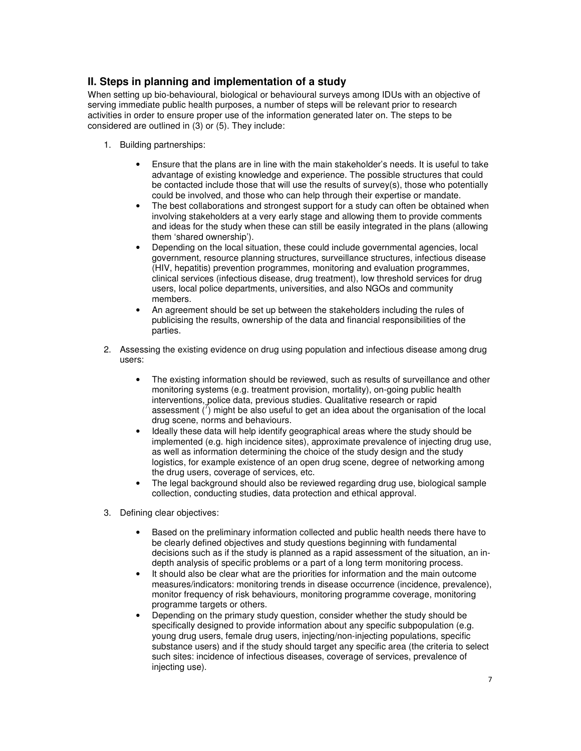# **II. Steps in planning and implementation of a study**

When setting up bio-behavioural, biological or behavioural surveys among IDUs with an objective of serving immediate public health purposes, a number of steps will be relevant prior to research activities in order to ensure proper use of the information generated later on. The steps to be considered are outlined in (3) or (5). They include:

- 1. Building partnerships:
	- Ensure that the plans are in line with the main stakeholder's needs. It is useful to take advantage of existing knowledge and experience. The possible structures that could be contacted include those that will use the results of survey(s), those who potentially could be involved, and those who can help through their expertise or mandate.
	- The best collaborations and strongest support for a study can often be obtained when involving stakeholders at a very early stage and allowing them to provide comments and ideas for the study when these can still be easily integrated in the plans (allowing them 'shared ownership').
	- Depending on the local situation, these could include governmental agencies, local government, resource planning structures, surveillance structures, infectious disease (HIV, hepatitis) prevention programmes, monitoring and evaluation programmes, clinical services (infectious disease, drug treatment), low threshold services for drug users, local police departments, universities, and also NGOs and community members.
	- An agreement should be set up between the stakeholders including the rules of publicising the results, ownership of the data and financial responsibilities of the parties.
- 2. Assessing the existing evidence on drug using population and infectious disease among drug users:
	- The existing information should be reviewed, such as results of surveillance and other monitoring systems (e.g. treatment provision, mortality), on-going public health interventions, police data, previous studies. Qualitative research or rapid assessment  $\binom{7}{1}$  might be also useful to get an idea about the organisation of the local drug scene, norms and behaviours.
	- Ideally these data will help identify geographical areas where the study should be implemented (e.g. high incidence sites), approximate prevalence of injecting drug use, as well as information determining the choice of the study design and the study logistics, for example existence of an open drug scene, degree of networking among the drug users, coverage of services, etc.
	- The legal background should also be reviewed regarding drug use, biological sample collection, conducting studies, data protection and ethical approval.
- 3. Defining clear objectives:
	- Based on the preliminary information collected and public health needs there have to be clearly defined objectives and study questions beginning with fundamental decisions such as if the study is planned as a rapid assessment of the situation, an indepth analysis of specific problems or a part of a long term monitoring process.
	- It should also be clear what are the priorities for information and the main outcome measures/indicators: monitoring trends in disease occurrence (incidence, prevalence), monitor frequency of risk behaviours, monitoring programme coverage, monitoring programme targets or others.
	- Depending on the primary study question, consider whether the study should be specifically designed to provide information about any specific subpopulation (e.g. young drug users, female drug users, injecting/non-injecting populations, specific substance users) and if the study should target any specific area (the criteria to select such sites: incidence of infectious diseases, coverage of services, prevalence of injecting use).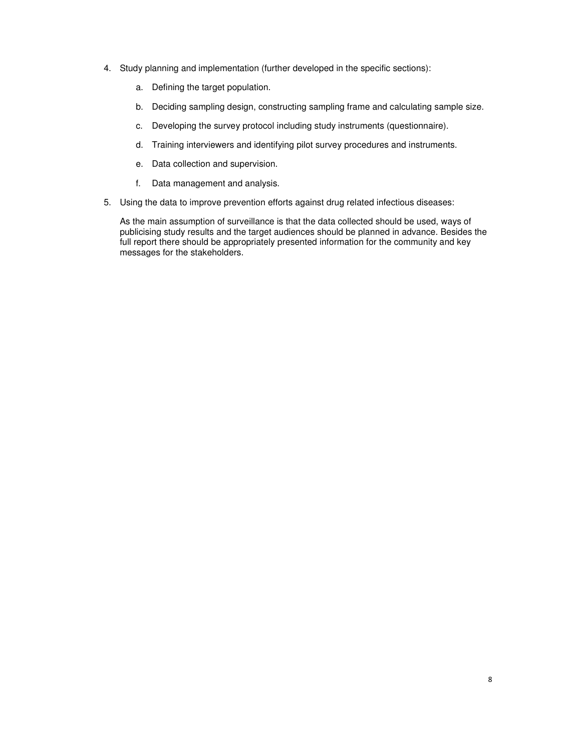- 4. Study planning and implementation (further developed in the specific sections):
	- a. Defining the target population.
	- b. Deciding sampling design, constructing sampling frame and calculating sample size.
	- c. Developing the survey protocol including study instruments (questionnaire).
	- d. Training interviewers and identifying pilot survey procedures and instruments.
	- e. Data collection and supervision.
	- f. Data management and analysis.
- 5. Using the data to improve prevention efforts against drug related infectious diseases:

As the main assumption of surveillance is that the data collected should be used, ways of publicising study results and the target audiences should be planned in advance. Besides the full report there should be appropriately presented information for the community and key messages for the stakeholders.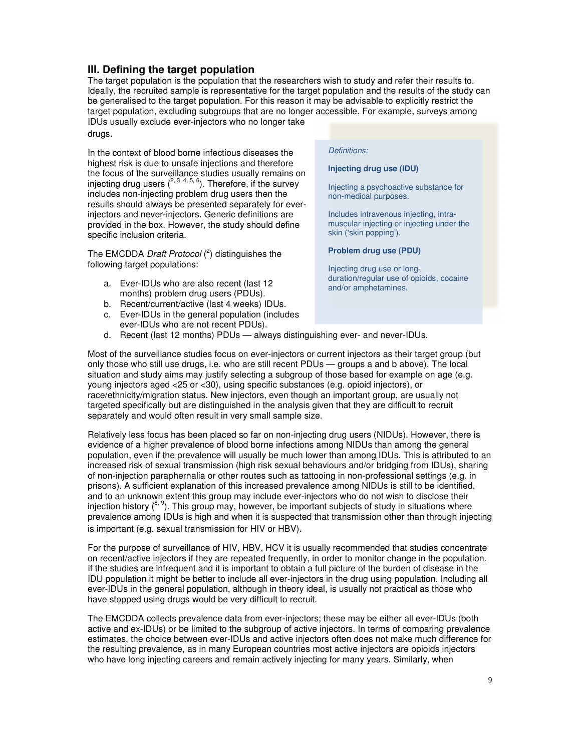# **III. Defining the target population**

The target population is the population that the researchers wish to study and refer their results to. Ideally, the recruited sample is representative for the target population and the results of the study can be generalised to the target population. For this reason it may be advisable to explicitly restrict the target population, excluding subgroups that are no longer accessible. For example, surveys among IDUs usually exclude ever-injectors who no longer take

drugs.

In the context of blood borne infectious diseases the highest risk is due to unsafe injections and therefore the focus of the surveillance studies usually remains on injecting drug users  $(2, 3, 4, 5, 6)$ . Therefore, if the survey includes non-injecting problem drug users then the results should always be presented separately for everinjectors and never-injectors. Generic definitions are provided in the box. However, the study should define specific inclusion criteria.

The EMCDDA *Draft Protocol*  $(^2)$  distinguishes the following target populations:

- a. Ever-IDUs who are also recent (last 12 months) problem drug users (PDUs).
- b. Recent/current/active (last 4 weeks) IDUs.
- c. Ever-IDUs in the general population (includes ever-IDUs who are not recent PDUs).

### Definitions:

#### **Injecting drug use (IDU)**

Injecting a psychoactive substance for non-medical purposes.

Includes intravenous injecting, intramuscular injecting or injecting under the skin ('skin popping').

#### **Problem drug use (PDU)**

Injecting drug use or longduration/regular use of opioids, cocaine and/or amphetamines.

d. Recent (last 12 months) PDUs — always distinguishing ever- and never-IDUs.

Most of the surveillance studies focus on ever-injectors or current injectors as their target group (but only those who still use drugs, i.e. who are still recent PDUs — groups a and b above). The local situation and study aims may justify selecting a subgroup of those based for example on age (e.g. young injectors aged <25 or <30), using specific substances (e.g. opioid injectors), or race/ethnicity/migration status. New injectors, even though an important group, are usually not targeted specifically but are distinguished in the analysis given that they are difficult to recruit separately and would often result in very small sample size.

Relatively less focus has been placed so far on non-injecting drug users (NIDUs). However, there is evidence of a higher prevalence of blood borne infections among NIDUs than among the general population, even if the prevalence will usually be much lower than among IDUs. This is attributed to an increased risk of sexual transmission (high risk sexual behaviours and/or bridging from IDUs), sharing of non-injection paraphernalia or other routes such as tattooing in non-professional settings (e.g. in prisons). A sufficient explanation of this increased prevalence among NIDUs is still to be identified, and to an unknown extent this group may include ever-injectors who do not wish to disclose their injection history  $({}^{8, 9})$ . This group may, however, be important subjects of study in situations where prevalence among IDUs is high and when it is suspected that transmission other than through injecting is important (e.g. sexual transmission for HIV or HBV).

For the purpose of surveillance of HIV, HBV, HCV it is usually recommended that studies concentrate on recent/active injectors if they are repeated frequently, in order to monitor change in the population. If the studies are infrequent and it is important to obtain a full picture of the burden of disease in the IDU population it might be better to include all ever-injectors in the drug using population. Including all ever-IDUs in the general population, although in theory ideal, is usually not practical as those who have stopped using drugs would be very difficult to recruit.

The EMCDDA collects prevalence data from ever-injectors; these may be either all ever-IDUs (both active and ex-IDUs) or be limited to the subgroup of active injectors. In terms of comparing prevalence estimates, the choice between ever-IDUs and active injectors often does not make much difference for the resulting prevalence, as in many European countries most active injectors are opioids injectors who have long injecting careers and remain actively injecting for many years. Similarly, when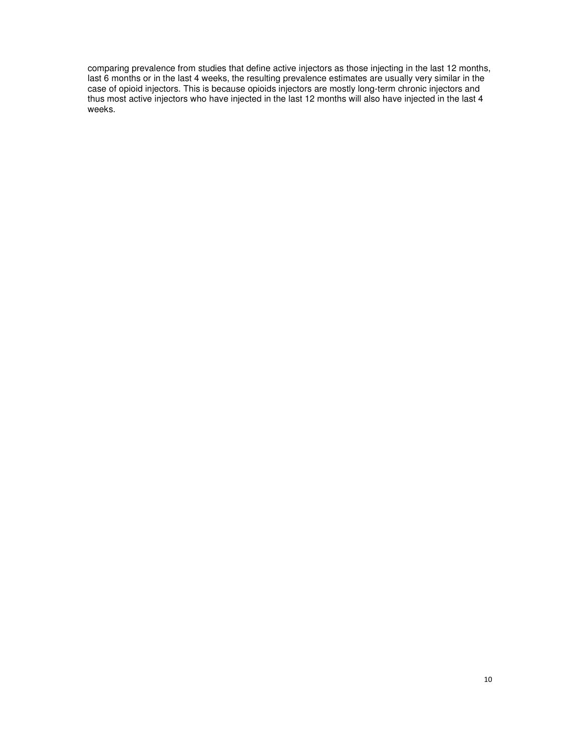comparing prevalence from studies that define active injectors as those injecting in the last 12 months, last 6 months or in the last 4 weeks, the resulting prevalence estimates are usually very similar in the case of opioid injectors. This is because opioids injectors are mostly long-term chronic injectors and thus most active injectors who have injected in the last 12 months will also have injected in the last 4 weeks.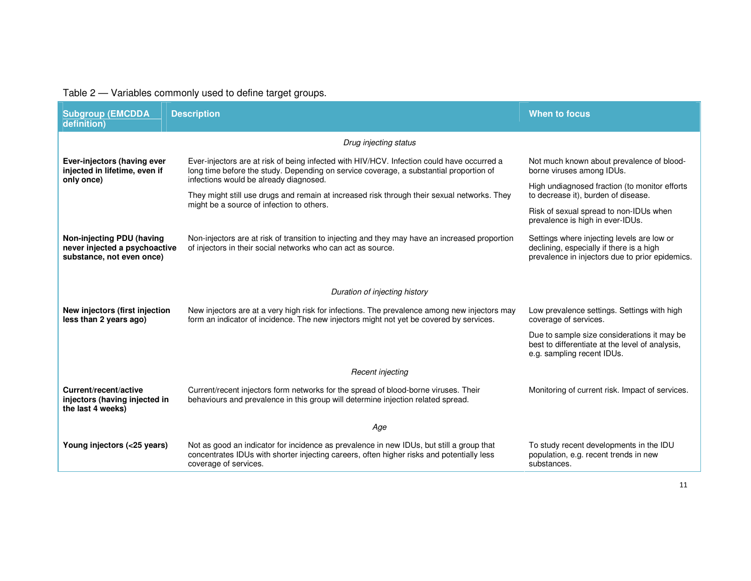# Table 2 — Variables commonly used to define target groups.

| <b>Subgroup (EMCDDA</b><br>definition)                                                  | <b>Description</b>                                                                                                                                                                                             | When to focus                                                                                                                             |
|-----------------------------------------------------------------------------------------|----------------------------------------------------------------------------------------------------------------------------------------------------------------------------------------------------------------|-------------------------------------------------------------------------------------------------------------------------------------------|
|                                                                                         |                                                                                                                                                                                                                |                                                                                                                                           |
|                                                                                         | Drug injecting status                                                                                                                                                                                          |                                                                                                                                           |
| Ever-injectors (having ever<br>injected in lifetime, even if                            | Ever-injectors are at risk of being infected with HIV/HCV. Infection could have occurred a<br>long time before the study. Depending on service coverage, a substantial proportion of                           | Not much known about prevalence of blood-<br>borne viruses among IDUs.                                                                    |
| only once)                                                                              | infections would be already diagnosed.<br>They might still use drugs and remain at increased risk through their sexual networks. They                                                                          | High undiagnosed fraction (to monitor efforts<br>to decrease it), burden of disease.                                                      |
|                                                                                         | might be a source of infection to others.                                                                                                                                                                      | Risk of sexual spread to non-IDUs when<br>prevalence is high in ever-IDUs.                                                                |
| Non-injecting PDU (having<br>never injected a psychoactive<br>substance, not even once) | Non-injectors are at risk of transition to injecting and they may have an increased proportion<br>of injectors in their social networks who can act as source.                                                 | Settings where injecting levels are low or<br>declining, especially if there is a high<br>prevalence in injectors due to prior epidemics. |
|                                                                                         | Duration of injecting history                                                                                                                                                                                  |                                                                                                                                           |
| New injectors (first injection<br>less than 2 years ago)                                | New injectors are at a very high risk for infections. The prevalence among new injectors may<br>form an indicator of incidence. The new injectors might not yet be covered by services.                        | Low prevalence settings. Settings with high<br>coverage of services.                                                                      |
|                                                                                         |                                                                                                                                                                                                                | Due to sample size considerations it may be<br>best to differentiate at the level of analysis.<br>e.g. sampling recent IDUs.              |
|                                                                                         | Recent injecting                                                                                                                                                                                               |                                                                                                                                           |
| Current/recent/active<br>injectors (having injected in<br>the last 4 weeks)             | Current/recent injectors form networks for the spread of blood-borne viruses. Their<br>behaviours and prevalence in this group will determine injection related spread.                                        | Monitoring of current risk. Impact of services.                                                                                           |
|                                                                                         | Age                                                                                                                                                                                                            |                                                                                                                                           |
| Young injectors (<25 years)                                                             | Not as good an indicator for incidence as prevalence in new IDUs, but still a group that<br>concentrates IDUs with shorter injecting careers, often higher risks and potentially less<br>coverage of services. | To study recent developments in the IDU<br>population, e.g. recent trends in new<br>substances.                                           |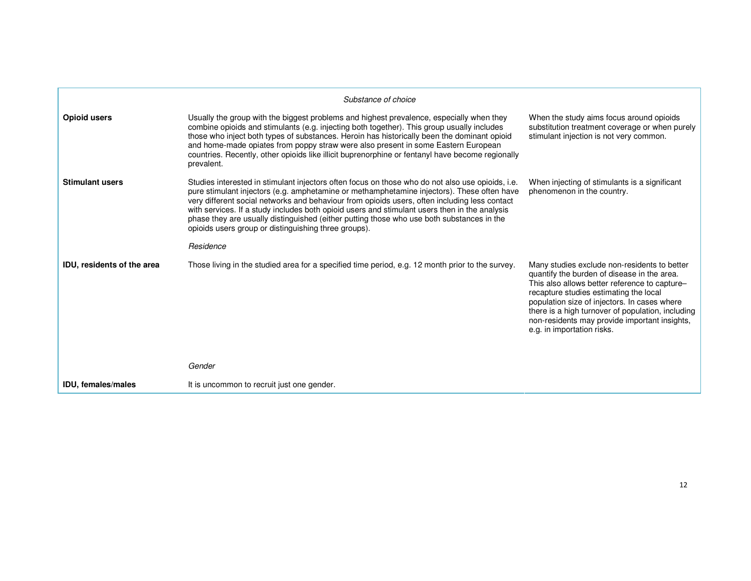|                            | Substance of choice                                                                                                                                                                                                                                                                                                                                                                                                                                                                                                                                   |                                                                                                                                                                                                                                                                                                                                                                            |
|----------------------------|-------------------------------------------------------------------------------------------------------------------------------------------------------------------------------------------------------------------------------------------------------------------------------------------------------------------------------------------------------------------------------------------------------------------------------------------------------------------------------------------------------------------------------------------------------|----------------------------------------------------------------------------------------------------------------------------------------------------------------------------------------------------------------------------------------------------------------------------------------------------------------------------------------------------------------------------|
| Opioid users               | Usually the group with the biggest problems and highest prevalence, especially when they<br>combine opioids and stimulants (e.g. injecting both together). This group usually includes<br>those who inject both types of substances. Heroin has historically been the dominant opioid<br>and home-made opiates from poppy straw were also present in some Eastern European<br>countries. Recently, other opioids like illicit buprenorphine or fentanyl have become regionally<br>prevalent.                                                          | When the study aims focus around opioids<br>substitution treatment coverage or when purely<br>stimulant injection is not very common.                                                                                                                                                                                                                                      |
| <b>Stimulant users</b>     | Studies interested in stimulant injectors often focus on those who do not also use opioids, i.e.<br>pure stimulant injectors (e.g. amphetamine or methamphetamine injectors). These often have<br>very different social networks and behaviour from opioids users, often including less contact<br>with services. If a study includes both opioid users and stimulant users then in the analysis<br>phase they are usually distinguished (either putting those who use both substances in the<br>opioids users group or distinguishing three groups). | When injecting of stimulants is a significant<br>phenomenon in the country.                                                                                                                                                                                                                                                                                                |
|                            | Residence                                                                                                                                                                                                                                                                                                                                                                                                                                                                                                                                             |                                                                                                                                                                                                                                                                                                                                                                            |
| IDU, residents of the area | Those living in the studied area for a specified time period, e.g. 12 month prior to the survey.                                                                                                                                                                                                                                                                                                                                                                                                                                                      | Many studies exclude non-residents to better<br>quantify the burden of disease in the area.<br>This also allows better reference to capture-<br>recapture studies estimating the local<br>population size of injectors. In cases where<br>there is a high turnover of population, including<br>non-residents may provide important insights,<br>e.g. in importation risks. |
|                            | Gender                                                                                                                                                                                                                                                                                                                                                                                                                                                                                                                                                |                                                                                                                                                                                                                                                                                                                                                                            |
| <b>IDU, females/males</b>  | It is uncommon to recruit just one gender.                                                                                                                                                                                                                                                                                                                                                                                                                                                                                                            |                                                                                                                                                                                                                                                                                                                                                                            |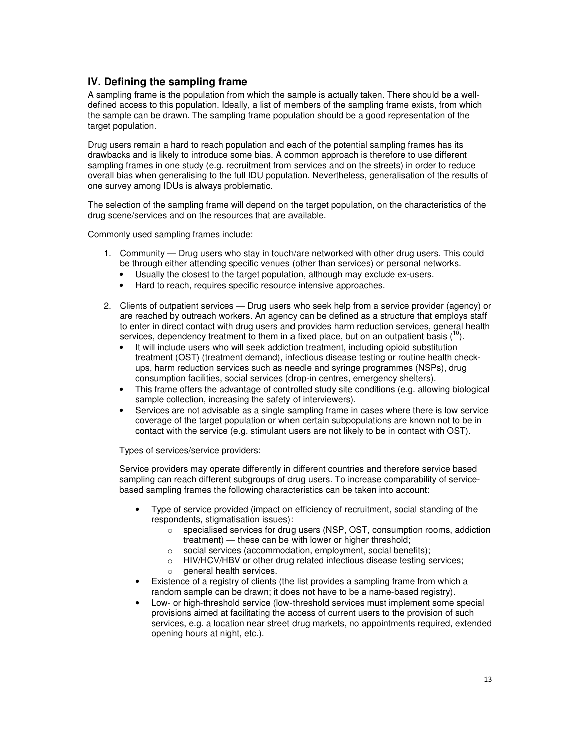# **IV. Defining the sampling frame**

A sampling frame is the population from which the sample is actually taken. There should be a welldefined access to this population. Ideally, a list of members of the sampling frame exists, from which the sample can be drawn. The sampling frame population should be a good representation of the target population.

Drug users remain a hard to reach population and each of the potential sampling frames has its drawbacks and is likely to introduce some bias. A common approach is therefore to use different sampling frames in one study (e.g. recruitment from services and on the streets) in order to reduce overall bias when generalising to the full IDU population. Nevertheless, generalisation of the results of one survey among IDUs is always problematic.

The selection of the sampling frame will depend on the target population, on the characteristics of the drug scene/services and on the resources that are available.

Commonly used sampling frames include:

- 1. Community Drug users who stay in touch/are networked with other drug users. This could be through either attending specific venues (other than services) or personal networks.
	- Usually the closest to the target population, although may exclude ex-users.
	- Hard to reach, requires specific resource intensive approaches.
- 2. Clients of outpatient services Drug users who seek help from a service provider (agency) or are reached by outreach workers. An agency can be defined as a structure that employs staff to enter in direct contact with drug users and provides harm reduction services, general health services, dependency treatment to them in a fixed place, but on an outpatient basis  $(10)$ .
	- It will include users who will seek addiction treatment, including opioid substitution treatment (OST) (treatment demand), infectious disease testing or routine health checkups, harm reduction services such as needle and syringe programmes (NSPs), drug consumption facilities, social services (drop-in centres, emergency shelters).
	- This frame offers the advantage of controlled study site conditions (e.g. allowing biological sample collection, increasing the safety of interviewers).
	- Services are not advisable as a single sampling frame in cases where there is low service coverage of the target population or when certain subpopulations are known not to be in contact with the service (e.g. stimulant users are not likely to be in contact with OST).

Types of services/service providers:

Service providers may operate differently in different countries and therefore service based sampling can reach different subgroups of drug users. To increase comparability of servicebased sampling frames the following characteristics can be taken into account:

- Type of service provided (impact on efficiency of recruitment, social standing of the respondents, stigmatisation issues):
	- o specialised services for drug users (NSP, OST, consumption rooms, addiction treatment) — these can be with lower or higher threshold;
	- o social services (accommodation, employment, social benefits);
	- $\circ$  HIV/HCV/HBV or other drug related infectious disease testing services;
	- $\circ$  general health services.
- Existence of a registry of clients (the list provides a sampling frame from which a random sample can be drawn; it does not have to be a name-based registry).
- Low- or high-threshold service (low-threshold services must implement some special provisions aimed at facilitating the access of current users to the provision of such services, e.g. a location near street drug markets, no appointments required, extended opening hours at night, etc.).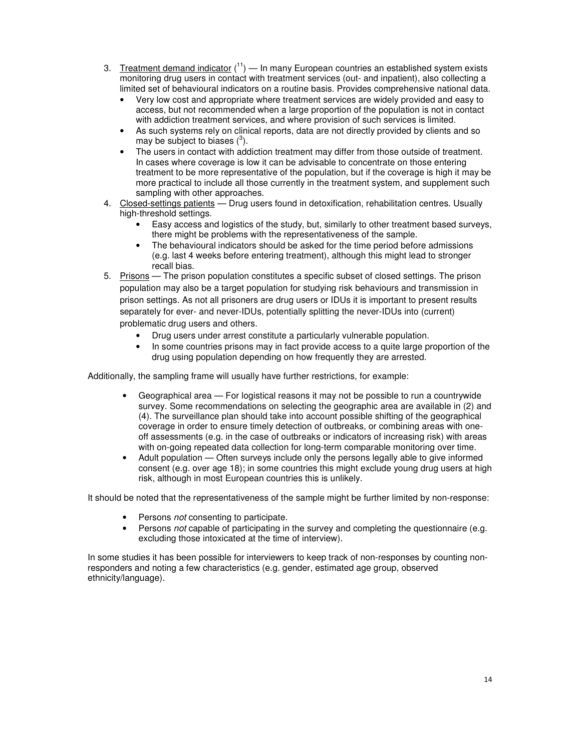- 3. Treatment demand indicator  $(11)$  In many European countries an established system exists monitoring drug users in contact with treatment services (out- and inpatient), also collecting a limited set of behavioural indicators on a routine basis. Provides comprehensive national data.
	- Very low cost and appropriate where treatment services are widely provided and easy to access, but not recommended when a large proportion of the population is not in contact with addiction treatment services, and where provision of such services is limited.
	- As such systems rely on clinical reports, data are not directly provided by clients and so may be subject to biases  $(3)$ .
	- The users in contact with addiction treatment may differ from those outside of treatment. In cases where coverage is low it can be advisable to concentrate on those entering treatment to be more representative of the population, but if the coverage is high it may be more practical to include all those currently in the treatment system, and supplement such sampling with other approaches.
- 4. Closed-settings patients Drug users found in detoxification, rehabilitation centres. Usually high-threshold settings.
	- Easy access and logistics of the study, but, similarly to other treatment based surveys, there might be problems with the representativeness of the sample.
	- The behavioural indicators should be asked for the time period before admissions (e.g. last 4 weeks before entering treatment), although this might lead to stronger recall bias.
- 5. Prisons The prison population constitutes a specific subset of closed settings. The prison population may also be a target population for studying risk behaviours and transmission in prison settings. As not all prisoners are drug users or IDUs it is important to present results separately for ever- and never-IDUs, potentially splitting the never-IDUs into (current) problematic drug users and others.
	- Drug users under arrest constitute a particularly vulnerable population.
	- In some countries prisons may in fact provide access to a quite large proportion of the drug using population depending on how frequently they are arrested.

Additionally, the sampling frame will usually have further restrictions, for example:

- Geographical area For logistical reasons it may not be possible to run a countrywide survey. Some recommendations on selecting the geographic area are available in (2) and (4). The surveillance plan should take into account possible shifting of the geographical coverage in order to ensure timely detection of outbreaks, or combining areas with oneoff assessments (e.g. in the case of outbreaks or indicators of increasing risk) with areas with on-going repeated data collection for long-term comparable monitoring over time.
- Adult population Often surveys include only the persons legally able to give informed consent (e.g. over age 18); in some countries this might exclude young drug users at high risk, although in most European countries this is unlikely.

It should be noted that the representativeness of the sample might be further limited by non-response:

- Persons *not* consenting to participate.
- Persons not capable of participating in the survey and completing the questionnaire (e.g. excluding those intoxicated at the time of interview).

In some studies it has been possible for interviewers to keep track of non-responses by counting nonresponders and noting a few characteristics (e.g. gender, estimated age group, observed ethnicity/language).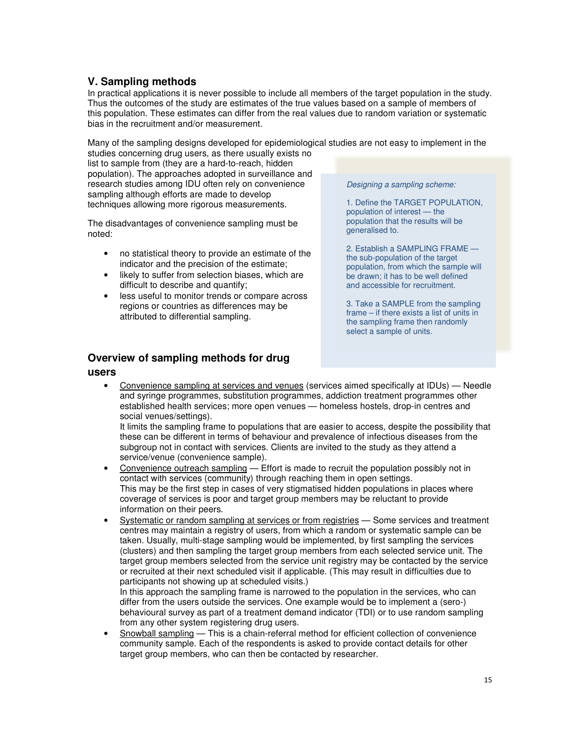# **V. Sampling methods**

In practical applications it is never possible to include all members of the target population in the study. Thus the outcomes of the study are estimates of the true values based on a sample of members of this population. These estimates can differ from the real values due to random variation or systematic bias in the recruitment and/or measurement.

Many of the sampling designs developed for epidemiological studies are not easy to implement in the studies concerning drug users, as there usually exists no

list to sample from (they are a hard-to-reach, hidden population). The approaches adopted in surveillance and research studies among IDU often rely on convenience sampling although efforts are made to develop techniques allowing more rigorous measurements.

The disadvantages of convenience sampling must be noted:

- no statistical theory to provide an estimate of the indicator and the precision of the estimate;
- likely to suffer from selection biases, which are difficult to describe and quantify;
- less useful to monitor trends or compare across regions or countries as differences may be attributed to differential sampling.

Designing a sampling scheme:

1. Define the TARGET POPULATION, population of interest — the population that the results will be generalised to.

2. Establish a SAMPLING FRAME the sub-population of the target population, from which the sample will be drawn; it has to be well defined and accessible for recruitment.

3. Take a SAMPLE from the sampling frame – if there exists a list of units in the sampling frame then randomly select a sample of units.

# **Overview of sampling methods for drug**

### **users**

• Convenience sampling at services and venues (services aimed specifically at IDUs) — Needle and syringe programmes, substitution programmes, addiction treatment programmes other established health services; more open venues — homeless hostels, drop-in centres and social venues/settings).

It limits the sampling frame to populations that are easier to access, despite the possibility that these can be different in terms of behaviour and prevalence of infectious diseases from the subgroup not in contact with services. Clients are invited to the study as they attend a service/venue (convenience sample).

- Convenience outreach sampling Effort is made to recruit the population possibly not in contact with services (community) through reaching them in open settings. This may be the first step in cases of very stigmatised hidden populations in places where coverage of services is poor and target group members may be reluctant to provide information on their peers.
- Systematic or random sampling at services or from registries Some services and treatment centres may maintain a registry of users, from which a random or systematic sample can be taken. Usually, multi-stage sampling would be implemented, by first sampling the services (clusters) and then sampling the target group members from each selected service unit. The target group members selected from the service unit registry may be contacted by the service or recruited at their next scheduled visit if applicable. (This may result in difficulties due to participants not showing up at scheduled visits.)

In this approach the sampling frame is narrowed to the population in the services, who can differ from the users outside the services. One example would be to implement a (sero-) behavioural survey as part of a treatment demand indicator (TDI) or to use random sampling from any other system registering drug users.

• Snowball sampling — This is a chain-referral method for efficient collection of convenience community sample. Each of the respondents is asked to provide contact details for other target group members, who can then be contacted by researcher.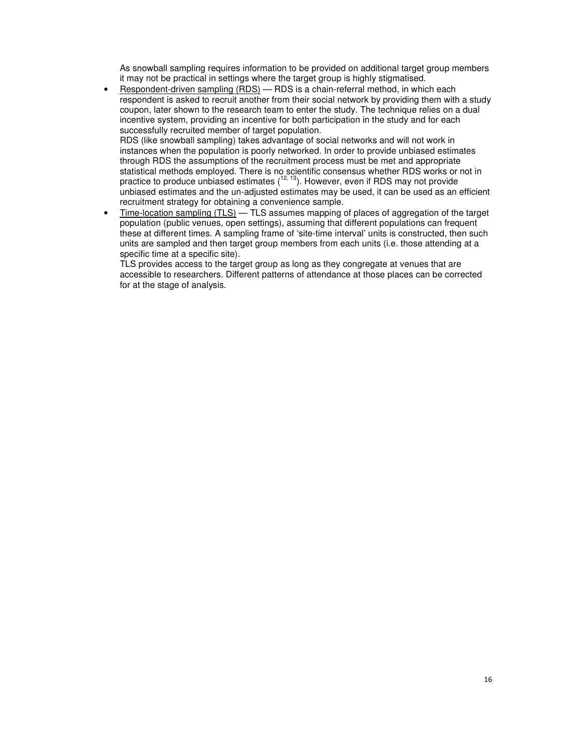As snowball sampling requires information to be provided on additional target group members it may not be practical in settings where the target group is highly stigmatised.

• Respondent-driven sampling (RDS) — RDS is a chain-referral method, in which each respondent is asked to recruit another from their social network by providing them with a study coupon, later shown to the research team to enter the study. The technique relies on a dual incentive system, providing an incentive for both participation in the study and for each successfully recruited member of target population.

RDS (like snowball sampling) takes advantage of social networks and will not work in instances when the population is poorly networked. In order to provide unbiased estimates through RDS the assumptions of the recruitment process must be met and appropriate statistical methods employed. There is no scientific consensus whether RDS works or not in practice to produce unbiased estimates  $(1^{2, 13})$ . However, even if RDS may not provide unbiased estimates and the un-adjusted estimates may be used, it can be used as an efficient recruitment strategy for obtaining a convenience sample.

• Time-location sampling (TLS) — TLS assumes mapping of places of aggregation of the target population (public venues, open settings), assuming that different populations can frequent these at different times. A sampling frame of 'site-time interval' units is constructed, then such units are sampled and then target group members from each units (i.e. those attending at a specific time at a specific site).

TLS provides access to the target group as long as they congregate at venues that are accessible to researchers. Different patterns of attendance at those places can be corrected for at the stage of analysis.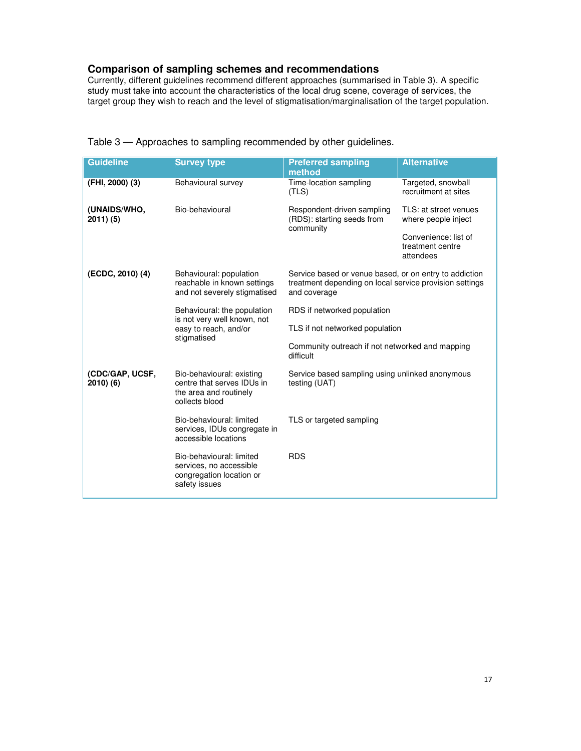# **Comparison of sampling schemes and recommendations**

Currently, different guidelines recommend different approaches (summarised in Table 3). A specific study must take into account the characteristics of the local drug scene, coverage of services, the target group they wish to reach and the level of stigmatisation/marginalisation of the target population.

| <b>Guideline</b>           | <b>Survey type</b>                                                                                  | <b>Preferred sampling</b><br>method                                                                                               | <b>Alternative</b>                                    |  |
|----------------------------|-----------------------------------------------------------------------------------------------------|-----------------------------------------------------------------------------------------------------------------------------------|-------------------------------------------------------|--|
| (FHI, 2000) (3)            | Behavioural survey                                                                                  | Time-location sampling<br>(TLS)                                                                                                   | Targeted, snowball<br>recruitment at sites            |  |
| (UNAIDS/WHO,<br>2011) (5)  | Bio-behavioural                                                                                     | Respondent-driven sampling<br>(RDS): starting seeds from<br>community                                                             | TLS: at street venues<br>where people inject          |  |
|                            |                                                                                                     |                                                                                                                                   | Convenience: list of<br>treatment centre<br>attendees |  |
| (ECDC, 2010) (4)           | Behavioural: population<br>reachable in known settings<br>and not severely stigmatised              | Service based or venue based, or on entry to addiction<br>treatment depending on local service provision settings<br>and coverage |                                                       |  |
|                            | Behavioural: the population<br>is not very well known, not                                          | RDS if networked population                                                                                                       |                                                       |  |
|                            | easy to reach, and/or<br>stigmatised                                                                | TLS if not networked population                                                                                                   |                                                       |  |
|                            |                                                                                                     | Community outreach if not networked and mapping<br>difficult                                                                      |                                                       |  |
| (CDC/GAP, UCSF,<br>2010(6) | Bio-behavioural: existing<br>centre that serves IDUs in<br>the area and routinely<br>collects blood | Service based sampling using unlinked anonymous<br>testing (UAT)                                                                  |                                                       |  |
|                            | Bio-behavioural: limited<br>services, IDUs congregate in<br>accessible locations                    | TLS or targeted sampling                                                                                                          |                                                       |  |
|                            | Bio-behavioural: limited<br>services, no accessible<br>congregation location or<br>safety issues    | <b>RDS</b>                                                                                                                        |                                                       |  |

Table 3 — Approaches to sampling recommended by other guidelines.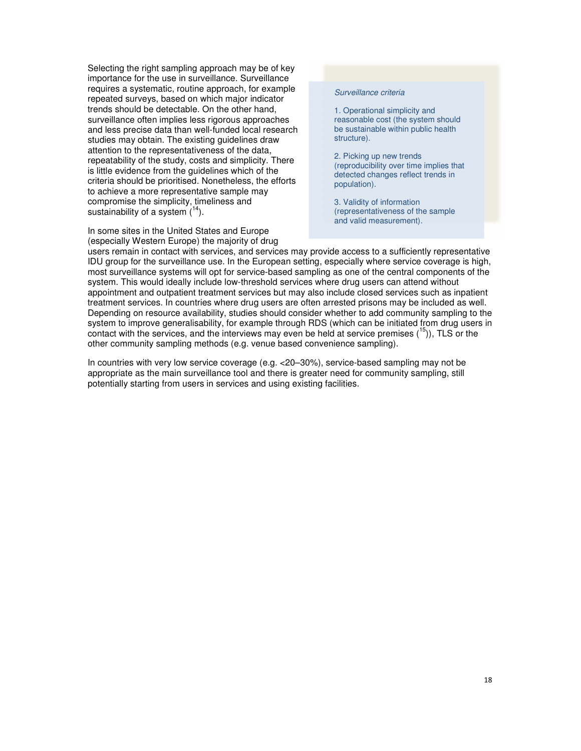Selecting the right sampling approach may be of key importance for the use in surveillance. Surveillance requires a systematic, routine approach, for example repeated surveys, based on which major indicator trends should be detectable. On the other hand, surveillance often implies less rigorous approaches and less precise data than well-funded local research studies may obtain. The existing guidelines draw attention to the representativeness of the data, repeatability of the study, costs and simplicity. There is little evidence from the guidelines which of the criteria should be prioritised. Nonetheless, the efforts to achieve a more representative sample may compromise the simplicity, timeliness and sustainability of a system  $(^{14})$ .

In some sites in the United States and Europe (especially Western Europe) the majority of drug

#### Surveillance criteria

1. Operational simplicity and reasonable cost (the system should be sustainable within public health structure).

2. Picking up new trends (reproducibility over time implies that detected changes reflect trends in population).

3. Validity of information (representativeness of the sample and valid measurement).

users remain in contact with services, and services may provide access to a sufficiently representative IDU group for the surveillance use. In the European setting, especially where service coverage is high, most surveillance systems will opt for service-based sampling as one of the central components of the system. This would ideally include low-threshold services where drug users can attend without appointment and outpatient treatment services but may also include closed services such as inpatient treatment services. In countries where drug users are often arrested prisons may be included as well. Depending on resource availability, studies should consider whether to add community sampling to the system to improve generalisability, for example through RDS (which can be initiated from drug users in contact with the services, and the interviews may even be held at service premises  $(^{15})$ ), TLS or the other community sampling methods (e.g. venue based convenience sampling).

In countries with very low service coverage (e.g. <20–30%), service-based sampling may not be appropriate as the main surveillance tool and there is greater need for community sampling, still potentially starting from users in services and using existing facilities.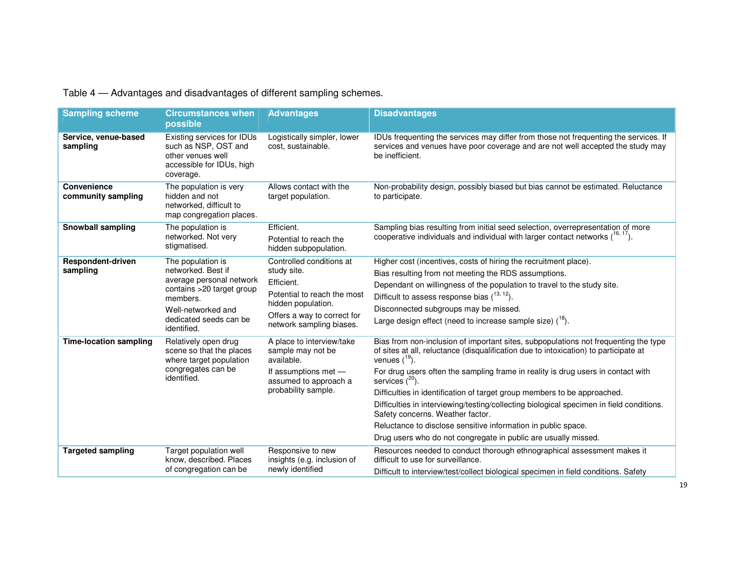Table 4 — Advantages and disadvantages of different sampling schemes.

| <b>Sampling scheme</b>            | <b>Circumstances when</b><br>possible                                                                                                                                       | <b>Advantages</b>                                                                                                                                                     | <b>Disadvantages</b>                                                                                                                                                                                                                                                                                                                                                                                                                                                                                                                                                                                                                                         |
|-----------------------------------|-----------------------------------------------------------------------------------------------------------------------------------------------------------------------------|-----------------------------------------------------------------------------------------------------------------------------------------------------------------------|--------------------------------------------------------------------------------------------------------------------------------------------------------------------------------------------------------------------------------------------------------------------------------------------------------------------------------------------------------------------------------------------------------------------------------------------------------------------------------------------------------------------------------------------------------------------------------------------------------------------------------------------------------------|
| Service, venue-based<br>sampling  | Existing services for IDUs<br>such as NSP, OST and<br>other venues well<br>accessible for IDUs, high<br>coverage.                                                           | Logistically simpler, lower<br>cost, sustainable.                                                                                                                     | IDUs frequenting the services may differ from those not frequenting the services. If<br>services and venues have poor coverage and are not well accepted the study may<br>be inefficient.                                                                                                                                                                                                                                                                                                                                                                                                                                                                    |
| Convenience<br>community sampling | The population is very<br>hidden and not<br>networked, difficult to<br>map congregation places.                                                                             | Allows contact with the<br>target population.                                                                                                                         | Non-probability design, possibly biased but bias cannot be estimated. Reluctance<br>to participate.                                                                                                                                                                                                                                                                                                                                                                                                                                                                                                                                                          |
| Snowball sampling                 | The population is<br>networked. Not very<br>stigmatised.                                                                                                                    | Efficient.<br>Potential to reach the<br>hidden subpopulation.                                                                                                         | Sampling bias resulting from initial seed selection, overrepresentation of more<br>cooperative individuals and individual with larger contact networks $(^{16, 17})$ .                                                                                                                                                                                                                                                                                                                                                                                                                                                                                       |
| Respondent-driven<br>sampling     | The population is<br>networked. Best if<br>average personal network<br>contains >20 target group<br>members.<br>Well-networked and<br>dedicated seeds can be<br>identified. | Controlled conditions at<br>study site.<br>Efficient.<br>Potential to reach the most<br>hidden population.<br>Offers a way to correct for<br>network sampling biases. | Higher cost (incentives, costs of hiring the recruitment place).<br>Bias resulting from not meeting the RDS assumptions.<br>Dependant on willingness of the population to travel to the study site.<br>Difficult to assess response bias $(^{13, 12})$ .<br>Disconnected subgroups may be missed.<br>Large design effect (need to increase sample size) $(^{18})$ .                                                                                                                                                                                                                                                                                          |
| <b>Time-location sampling</b>     | Relatively open drug<br>scene so that the places<br>where target population<br>congregates can be<br>identified.                                                            | A place to interview/take<br>sample may not be<br>available.<br>If assumptions met -<br>assumed to approach a<br>probability sample.                                  | Bias from non-inclusion of important sites, subpopulations not frequenting the type<br>of sites at all, reluctance (disqualification due to intoxication) to participate at<br>venues $(^{19})$ .<br>For drug users often the sampling frame in reality is drug users in contact with<br>services $(^{20})$ .<br>Difficulties in identification of target group members to be approached.<br>Difficulties in interviewing/testing/collecting biological specimen in field conditions.<br>Safety concerns. Weather factor.<br>Reluctance to disclose sensitive information in public space.<br>Drug users who do not congregate in public are usually missed. |
| <b>Targeted sampling</b>          | Target population well<br>know, described. Places<br>of congregation can be                                                                                                 | Responsive to new<br>insights (e.g. inclusion of<br>newly identified                                                                                                  | Resources needed to conduct thorough ethnographical assessment makes it<br>difficult to use for surveillance.<br>Difficult to interview/test/collect biological specimen in field conditions. Safety                                                                                                                                                                                                                                                                                                                                                                                                                                                         |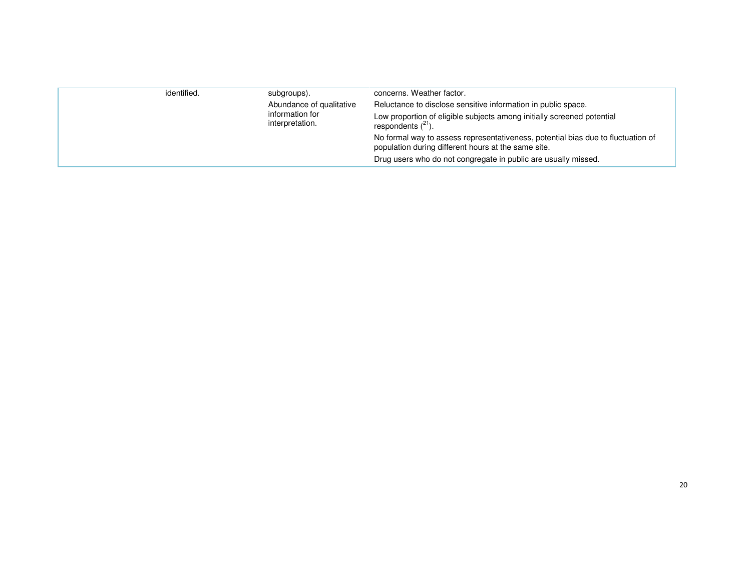| identified. | subgroups).<br>Abundance of qualitative<br>information for<br>interpretation. | concerns. Weather factor.<br>Reluctance to disclose sensitive information in public space.<br>Low proportion of eligible subjects among initially screened potential<br>respondents $(^{21})$ . |
|-------------|-------------------------------------------------------------------------------|-------------------------------------------------------------------------------------------------------------------------------------------------------------------------------------------------|
|             |                                                                               | No formal way to assess representativeness, potential bias due to fluctuation of<br>population during different hours at the same site.                                                         |
|             |                                                                               | Drug users who do not congregate in public are usually missed.                                                                                                                                  |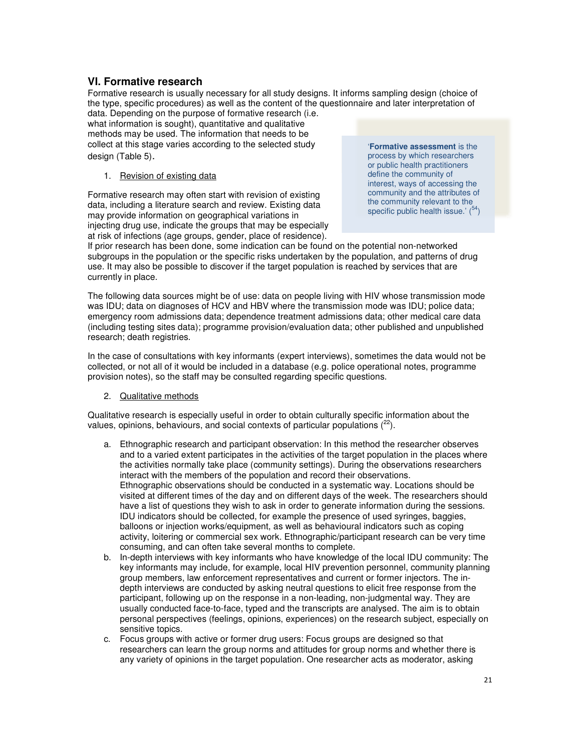## **VI. Formative research**

Formative research is usually necessary for all study designs. It informs sampling design (choice of the type, specific procedures) as well as the content of the questionnaire and later interpretation of data. Depending on the purpose of formative research (i.e.

what information is sought), quantitative and qualitative methods may be used. The information that needs to be collect at this stage varies according to the selected study design (Table 5).

1. Revision of existing data

Formative research may often start with revision of existing data, including a literature search and review. Existing data may provide information on geographical variations in injecting drug use, indicate the groups that may be especially at risk of infections (age groups, gender, place of residence).

'**Formative assessment** is the process by which researchers or public health practitioners define the community of interest, ways of accessing the community and the attributes of the community relevant to the specific public health issue.'  $\binom{54}{ }$ 

If prior research has been done, some indication can be found on the potential non-networked subgroups in the population or the specific risks undertaken by the population, and patterns of drug use. It may also be possible to discover if the target population is reached by services that are currently in place.

The following data sources might be of use: data on people living with HIV whose transmission mode was IDU; data on diagnoses of HCV and HBV where the transmission mode was IDU; police data; emergency room admissions data; dependence treatment admissions data; other medical care data (including testing sites data); programme provision/evaluation data; other published and unpublished research; death registries.

In the case of consultations with key informants (expert interviews), sometimes the data would not be collected, or not all of it would be included in a database (e.g. police operational notes, programme provision notes), so the staff may be consulted regarding specific questions.

2. Qualitative methods

Qualitative research is especially useful in order to obtain culturally specific information about the values, opinions, behaviours, and social contexts of particular populations  $(^{22})$ .

- a. Ethnographic research and participant observation: In this method the researcher observes and to a varied extent participates in the activities of the target population in the places where the activities normally take place (community settings). During the observations researchers interact with the members of the population and record their observations. Ethnographic observations should be conducted in a systematic way. Locations should be visited at different times of the day and on different days of the week. The researchers should have a list of questions they wish to ask in order to generate information during the sessions. IDU indicators should be collected, for example the presence of used syringes, baggies, balloons or injection works/equipment, as well as behavioural indicators such as coping activity, loitering or commercial sex work. Ethnographic/participant research can be very time consuming, and can often take several months to complete.
- b. In-depth interviews with key informants who have knowledge of the local IDU community: The key informants may include, for example, local HIV prevention personnel, community planning group members, law enforcement representatives and current or former injectors. The indepth interviews are conducted by asking neutral questions to elicit free response from the participant, following up on the response in a non-leading, non-judgmental way. They are usually conducted face-to-face, typed and the transcripts are analysed. The aim is to obtain personal perspectives (feelings, opinions, experiences) on the research subject, especially on sensitive topics.
- c. Focus groups with active or former drug users: Focus groups are designed so that researchers can learn the group norms and attitudes for group norms and whether there is any variety of opinions in the target population. One researcher acts as moderator, asking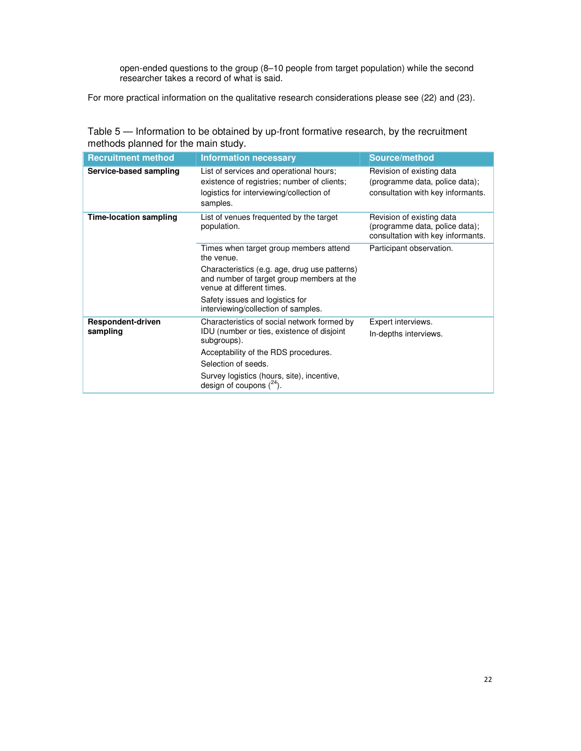open-ended questions to the group (8–10 people from target population) while the second researcher takes a record of what is said.

For more practical information on the qualitative research considerations please see (22) and (23).

| Table 5 — Information to be obtained by up-front formative research, by the recruitment |
|-----------------------------------------------------------------------------------------|
| methods planned for the main study.                                                     |

| <b>Recruitment method</b>     | <b>Information necessary</b>                                                                                                                   | Source/method                                                                                    |
|-------------------------------|------------------------------------------------------------------------------------------------------------------------------------------------|--------------------------------------------------------------------------------------------------|
| Service-based sampling        | List of services and operational hours;<br>existence of registries; number of clients;<br>logistics for interviewing/collection of<br>samples. | Revision of existing data<br>(programme data, police data);<br>consultation with key informants. |
| <b>Time-location sampling</b> | List of venues frequented by the target<br>population.                                                                                         | Revision of existing data<br>(programme data, police data);<br>consultation with key informants. |
|                               | Times when target group members attend<br>the venue.                                                                                           | Participant observation.                                                                         |
|                               | Characteristics (e.g. age, drug use patterns)<br>and number of target group members at the<br>venue at different times.                        |                                                                                                  |
|                               | Safety issues and logistics for<br>interviewing/collection of samples.                                                                         |                                                                                                  |
| Respondent-driven             | Characteristics of social network formed by                                                                                                    | Expert interviews.                                                                               |
| sampling                      | IDU (number or ties, existence of disjoint<br>subgroups).                                                                                      | In-depths interviews.                                                                            |
|                               | Acceptability of the RDS procedures.                                                                                                           |                                                                                                  |
|                               | Selection of seeds.                                                                                                                            |                                                                                                  |
|                               | Survey logistics (hours, site), incentive,<br>design of coupons $(^{24})$ .                                                                    |                                                                                                  |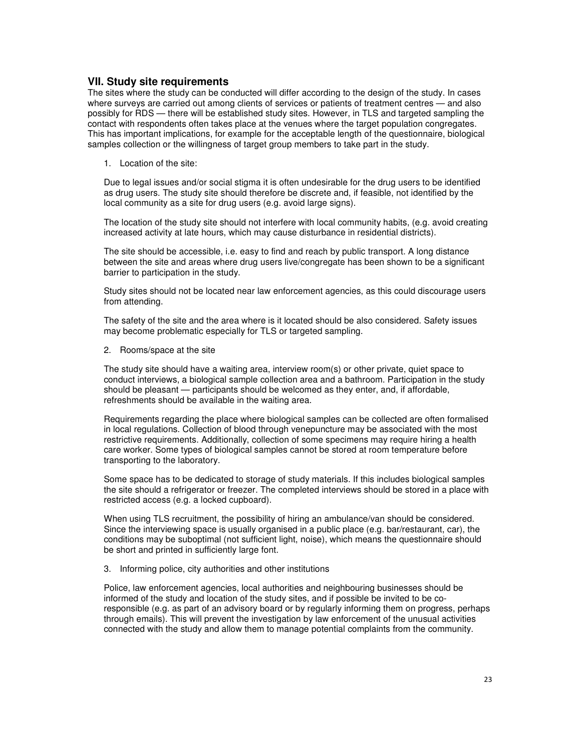### **VII. Study site requirements**

The sites where the study can be conducted will differ according to the design of the study. In cases where surveys are carried out among clients of services or patients of treatment centres — and also possibly for RDS — there will be established study sites. However, in TLS and targeted sampling the contact with respondents often takes place at the venues where the target population congregates. This has important implications, for example for the acceptable length of the questionnaire, biological samples collection or the willingness of target group members to take part in the study.

1. Location of the site:

Due to legal issues and/or social stigma it is often undesirable for the drug users to be identified as drug users. The study site should therefore be discrete and, if feasible, not identified by the local community as a site for drug users (e.g. avoid large signs).

The location of the study site should not interfere with local community habits, (e.g. avoid creating increased activity at late hours, which may cause disturbance in residential districts).

The site should be accessible, i.e. easy to find and reach by public transport. A long distance between the site and areas where drug users live/congregate has been shown to be a significant barrier to participation in the study.

Study sites should not be located near law enforcement agencies, as this could discourage users from attending.

The safety of the site and the area where is it located should be also considered. Safety issues may become problematic especially for TLS or targeted sampling.

2. Rooms/space at the site

The study site should have a waiting area, interview room(s) or other private, quiet space to conduct interviews, a biological sample collection area and a bathroom. Participation in the study should be pleasant — participants should be welcomed as they enter, and, if affordable, refreshments should be available in the waiting area.

Requirements regarding the place where biological samples can be collected are often formalised in local regulations. Collection of blood through venepuncture may be associated with the most restrictive requirements. Additionally, collection of some specimens may require hiring a health care worker. Some types of biological samples cannot be stored at room temperature before transporting to the laboratory.

Some space has to be dedicated to storage of study materials. If this includes biological samples the site should a refrigerator or freezer. The completed interviews should be stored in a place with restricted access (e.g. a locked cupboard).

When using TLS recruitment, the possibility of hiring an ambulance/van should be considered. Since the interviewing space is usually organised in a public place (e.g. bar/restaurant, car), the conditions may be suboptimal (not sufficient light, noise), which means the questionnaire should be short and printed in sufficiently large font.

3. Informing police, city authorities and other institutions

Police, law enforcement agencies, local authorities and neighbouring businesses should be informed of the study and location of the study sites, and if possible be invited to be coresponsible (e.g. as part of an advisory board or by regularly informing them on progress, perhaps through emails). This will prevent the investigation by law enforcement of the unusual activities connected with the study and allow them to manage potential complaints from the community.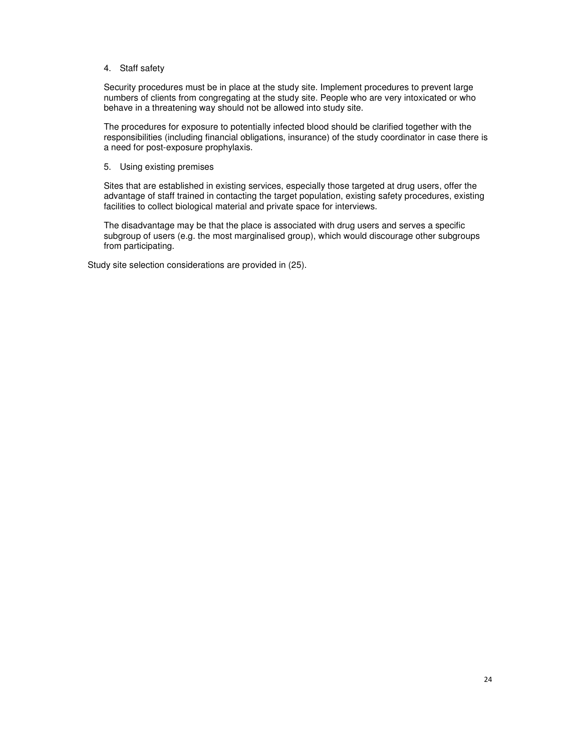### 4. Staff safety

Security procedures must be in place at the study site. Implement procedures to prevent large numbers of clients from congregating at the study site. People who are very intoxicated or who behave in a threatening way should not be allowed into study site.

The procedures for exposure to potentially infected blood should be clarified together with the responsibilities (including financial obligations, insurance) of the study coordinator in case there is a need for post-exposure prophylaxis.

### 5. Using existing premises

Sites that are established in existing services, especially those targeted at drug users, offer the advantage of staff trained in contacting the target population, existing safety procedures, existing facilities to collect biological material and private space for interviews.

The disadvantage may be that the place is associated with drug users and serves a specific subgroup of users (e.g. the most marginalised group), which would discourage other subgroups from participating.

Study site selection considerations are provided in (25).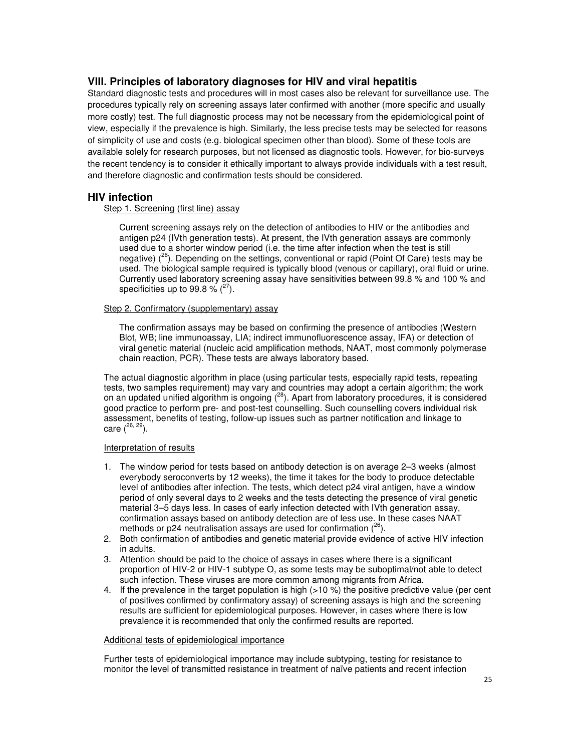# **VIII. Principles of laboratory diagnoses for HIV and viral hepatitis**

Standard diagnostic tests and procedures will in most cases also be relevant for surveillance use. The procedures typically rely on screening assays later confirmed with another (more specific and usually more costly) test. The full diagnostic process may not be necessary from the epidemiological point of view, especially if the prevalence is high. Similarly, the less precise tests may be selected for reasons of simplicity of use and costs (e.g. biological specimen other than blood). Some of these tools are available solely for research purposes, but not licensed as diagnostic tools. However, for bio-surveys the recent tendency is to consider it ethically important to always provide individuals with a test result, and therefore diagnostic and confirmation tests should be considered.

### **HIV infection**

Step 1. Screening (first line) assay

Current screening assays rely on the detection of antibodies to HIV or the antibodies and antigen p24 (IVth generation tests). At present, the IVth generation assays are commonly used due to a shorter window period (i.e. the time after infection when the test is still negative)  $(26)$ . Depending on the settings, conventional or rapid (Point Of Care) tests may be used. The biological sample required is typically blood (venous or capillary), oral fluid or urine. Currently used laboratory screening assay have sensitivities between 99.8 % and 100 % and specificities up to 99.8 %  $(^{27})$ .

### Step 2. Confirmatory (supplementary) assay

The confirmation assays may be based on confirming the presence of antibodies (Western Blot, WB; line immunoassay, LIA; indirect immunofluorescence assay, IFA) or detection of viral genetic material (nucleic acid amplification methods, NAAT, most commonly polymerase chain reaction, PCR). These tests are always laboratory based.

The actual diagnostic algorithm in place (using particular tests, especially rapid tests, repeating tests, two samples requirement) may vary and countries may adopt a certain algorithm; the work on an updated unified algorithm is ongoing  $(^{28})$ . Apart from laboratory procedures, it is considered good practice to perform pre- and post-test counselling. Such counselling covers individual risk assessment, benefits of testing, follow-up issues such as partner notification and linkage to care  $(^{26, 29})$ .

### Interpretation of results

- 1. The window period for tests based on antibody detection is on average 2–3 weeks (almost everybody seroconverts by 12 weeks), the time it takes for the body to produce detectable level of antibodies after infection. The tests, which detect p24 viral antigen, have a window period of only several days to 2 weeks and the tests detecting the presence of viral genetic material 3–5 days less. In cases of early infection detected with IVth generation assay, confirmation assays based on antibody detection are of less use. In these cases NAAT methods or p24 neutralisation assays are used for confirmation  $(^{26})$ .
- 2. Both confirmation of antibodies and genetic material provide evidence of active HIV infection in adults.
- 3. Attention should be paid to the choice of assays in cases where there is a significant proportion of HIV-2 or HIV-1 subtype O, as some tests may be suboptimal/not able to detect such infection. These viruses are more common among migrants from Africa.
- 4. If the prevalence in the target population is high  $(>10\%)$  the positive predictive value (per cent of positives confirmed by confirmatory assay) of screening assays is high and the screening results are sufficient for epidemiological purposes. However, in cases where there is low prevalence it is recommended that only the confirmed results are reported.

#### Additional tests of epidemiological importance

Further tests of epidemiological importance may include subtyping, testing for resistance to monitor the level of transmitted resistance in treatment of naïve patients and recent infection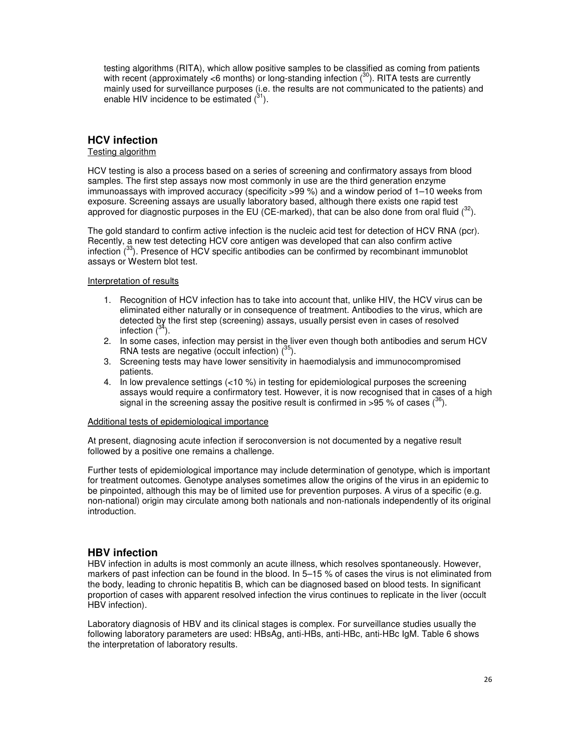testing algorithms (RITA), which allow positive samples to be classified as coming from patients with recent (approximately <6 months) or long-standing infection  $(^{30})$ . RITA tests are currently mainly used for surveillance purposes (i.e. the results are not communicated to the patients) and enable HIV incidence to be estimated  $(^{31})$ .

# **HCV infection**

### Testing algorithm

HCV testing is also a process based on a series of screening and confirmatory assays from blood samples. The first step assays now most commonly in use are the third generation enzyme immunoassays with improved accuracy (specificity >99 %) and a window period of 1–10 weeks from exposure. Screening assays are usually laboratory based, although there exists one rapid test approved for diagnostic purposes in the EU (CE-marked), that can be also done from oral fluid  $(^{32})$ .

The gold standard to confirm active infection is the nucleic acid test for detection of HCV RNA (pcr). Recently, a new test detecting HCV core antigen was developed that can also confirm active infection  $\binom{33}{3}$ . Presence of HCV specific antibodies can be confirmed by recombinant immunoblot assays or Western blot test.

#### Interpretation of results

- 1. Recognition of HCV infection has to take into account that, unlike HIV, the HCV virus can be eliminated either naturally or in consequence of treatment. Antibodies to the virus, which are detected by the first step (screening) assays, usually persist even in cases of resolved infection  $(^{34})$ .
- 2. In some cases, infection may persist in the liver even though both antibodies and serum HCV RNA tests are negative (occult infection)  $(^{35})$ .
- 3. Screening tests may have lower sensitivity in haemodialysis and immunocompromised patients.
- 4. In low prevalence settings (<10 %) in testing for epidemiological purposes the screening assays would require a confirmatory test. However, it is now recognised that in cases of a high signal in the screening assay the positive result is confirmed in >95 % of cases  $(36)$ .

### Additional tests of epidemiological importance

At present, diagnosing acute infection if seroconversion is not documented by a negative result followed by a positive one remains a challenge.

Further tests of epidemiological importance may include determination of genotype, which is important for treatment outcomes. Genotype analyses sometimes allow the origins of the virus in an epidemic to be pinpointed, although this may be of limited use for prevention purposes. A virus of a specific (e.g. non-national) origin may circulate among both nationals and non-nationals independently of its original introduction.

### **HBV infection**

HBV infection in adults is most commonly an acute illness, which resolves spontaneously. However, markers of past infection can be found in the blood. In 5–15 % of cases the virus is not eliminated from the body, leading to chronic hepatitis B, which can be diagnosed based on blood tests. In significant proportion of cases with apparent resolved infection the virus continues to replicate in the liver (occult HBV infection).

Laboratory diagnosis of HBV and its clinical stages is complex. For surveillance studies usually the following laboratory parameters are used: HBsAg, anti-HBs, anti-HBc, anti-HBc IgM. Table 6 shows the interpretation of laboratory results.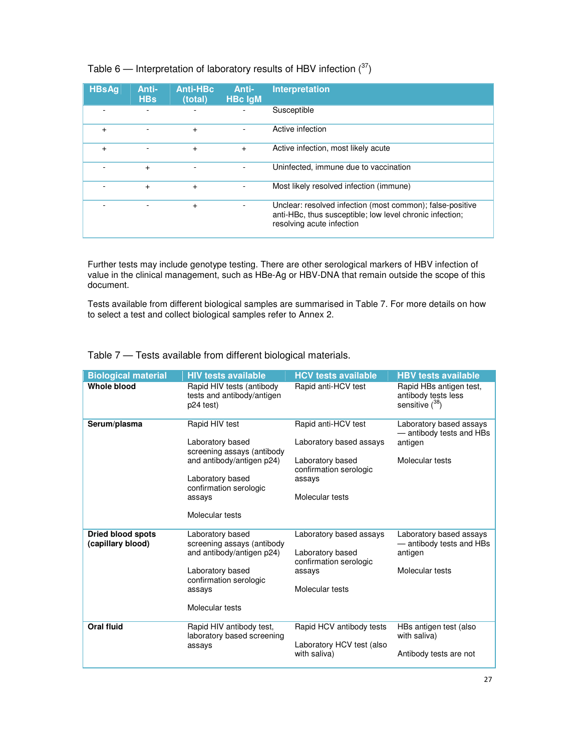Table 6 — Interpretation of laboratory results of HBV infection  $(^{37})$ 

| <b>HBsAg</b> | Anti-<br><b>HBs</b> | <b>Anti-HBc</b><br>(total) | Anti-<br><b>HBc IgM</b> | <b>Interpretation</b>                                                                                                                              |
|--------------|---------------------|----------------------------|-------------------------|----------------------------------------------------------------------------------------------------------------------------------------------------|
|              |                     |                            |                         | Susceptible                                                                                                                                        |
| $\ddot{}$    |                     | $+$                        |                         | Active infection                                                                                                                                   |
| $\ddot{}$    |                     | $\ddot{}$                  | $+$                     | Active infection, most likely acute                                                                                                                |
|              | $+$                 |                            |                         | Uninfected, immune due to vaccination                                                                                                              |
|              | $\ddot{}$           | $+$                        |                         | Most likely resolved infection (immune)                                                                                                            |
|              |                     | $\ddot{}$                  |                         | Unclear: resolved infection (most common); false-positive<br>anti-HBc, thus susceptible; low level chronic infection;<br>resolving acute infection |

Further tests may include genotype testing. There are other serological markers of HBV infection of value in the clinical management, such as HBe-Ag or HBV-DNA that remain outside the scope of this document.

Tests available from different biological samples are summarised in Table 7. For more details on how to select a test and collect biological samples refer to Annex 2.

| <b>Biological material</b>                    | <b>HIV tests available</b>                                                                                                                                               | <b>HCV tests available</b>                                                                                                | <b>HBV tests available</b>                                                        |
|-----------------------------------------------|--------------------------------------------------------------------------------------------------------------------------------------------------------------------------|---------------------------------------------------------------------------------------------------------------------------|-----------------------------------------------------------------------------------|
| <b>Whole blood</b>                            | Rapid HIV tests (antibody<br>tests and antibody/antigen<br>p24 test)                                                                                                     | Rapid anti-HCV test                                                                                                       | Rapid HBs antigen test,<br>antibody tests less<br>sensitive $(^{38})$             |
| Serum/plasma                                  | Rapid HIV test<br>Laboratory based<br>screening assays (antibody<br>and antibody/antigen p24)<br>Laboratory based<br>confirmation serologic<br>assays<br>Molecular tests | Rapid anti-HCV test<br>Laboratory based assays<br>Laboratory based<br>confirmation serologic<br>assays<br>Molecular tests | Laboratory based assays<br>- antibody tests and HBs<br>antigen<br>Molecular tests |
|                                               |                                                                                                                                                                          |                                                                                                                           |                                                                                   |
| <b>Dried blood spots</b><br>(capillary blood) | Laboratory based<br>screening assays (antibody<br>and antibody/antigen p24)<br>Laboratory based                                                                          | Laboratory based assays<br>Laboratory based<br>confirmation serologic<br>assays                                           | Laboratory based assays<br>- antibody tests and HBs<br>antigen<br>Molecular tests |
|                                               | confirmation serologic<br>assays                                                                                                                                         | Molecular tests                                                                                                           |                                                                                   |
|                                               | Molecular tests                                                                                                                                                          |                                                                                                                           |                                                                                   |
| <b>Oral fluid</b>                             | Rapid HIV antibody test,<br>laboratory based screening                                                                                                                   | Rapid HCV antibody tests                                                                                                  | HBs antigen test (also<br>with saliva)                                            |
|                                               | assays                                                                                                                                                                   | Laboratory HCV test (also<br>with saliva)                                                                                 | Antibody tests are not                                                            |
|                                               |                                                                                                                                                                          |                                                                                                                           |                                                                                   |

Table 7 — Tests available from different biological materials.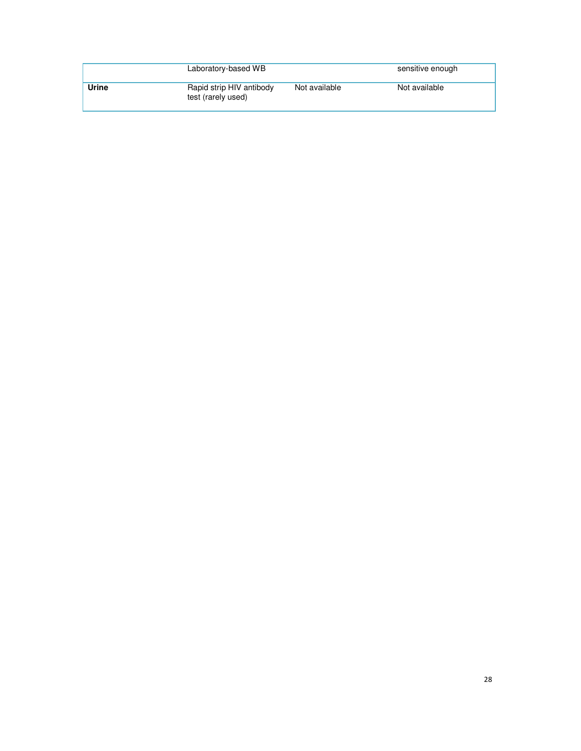|       | Laboratory-based WB                            |               | sensitive enough |
|-------|------------------------------------------------|---------------|------------------|
| Urine | Rapid strip HIV antibody<br>test (rarely used) | Not available | Not available    |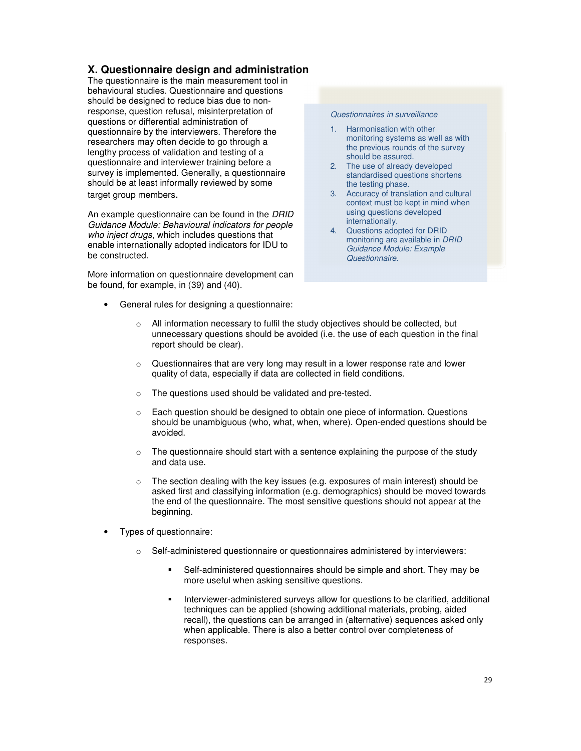# **X. Questionnaire design and administration**

The questionnaire is the main measurement tool in behavioural studies. Questionnaire and questions should be designed to reduce bias due to nonresponse, question refusal, misinterpretation of questions or differential administration of questionnaire by the interviewers. Therefore the researchers may often decide to go through a lengthy process of validation and testing of a questionnaire and interviewer training before a survey is implemented. Generally, a questionnaire should be at least informally reviewed by some target group members.

An example questionnaire can be found in the DRID Guidance Module: Behavioural indicators for people who inject drugs, which includes questions that enable internationally adopted indicators for IDU to be constructed.

More information on questionnaire development can be found, for example, in (39) and (40).

• General rules for designing a questionnaire:

#### Questionnaires in surveillance

- 1. Harmonisation with other monitoring systems as well as with the previous rounds of the survey should be assured.
- 2. The use of already developed standardised questions shortens the testing phase.
- 3. Accuracy of translation and cultural context must be kept in mind when using questions developed internationally.
- 4. Questions adopted for DRID monitoring are available in DRID Guidance Module: Example Questionnaire.
- o All information necessary to fulfil the study objectives should be collected, but unnecessary questions should be avoided (i.e. the use of each question in the final report should be clear).
- $\circ$  Questionnaires that are very long may result in a lower response rate and lower quality of data, especially if data are collected in field conditions.
- o The questions used should be validated and pre-tested.
- o Each question should be designed to obtain one piece of information. Questions should be unambiguous (who, what, when, where). Open-ended questions should be avoided.
- $\circ$  The questionnaire should start with a sentence explaining the purpose of the study and data use.
- $\circ$  The section dealing with the key issues (e.g. exposures of main interest) should be asked first and classifying information (e.g. demographics) should be moved towards the end of the questionnaire. The most sensitive questions should not appear at the beginning.
- Types of questionnaire:
	- o Self-administered questionnaire or questionnaires administered by interviewers:
		- Self-administered questionnaires should be simple and short. They may be more useful when asking sensitive questions.
		- Interviewer-administered surveys allow for questions to be clarified, additional techniques can be applied (showing additional materials, probing, aided recall), the questions can be arranged in (alternative) sequences asked only when applicable. There is also a better control over completeness of responses.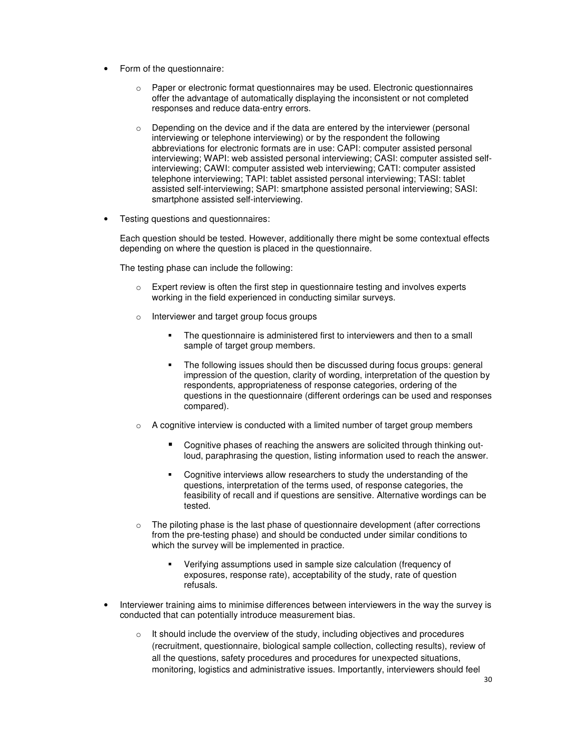- Form of the questionnaire:
	- $\circ$  Paper or electronic format questionnaires may be used. Electronic questionnaires offer the advantage of automatically displaying the inconsistent or not completed responses and reduce data-entry errors.
	- $\circ$  Depending on the device and if the data are entered by the interviewer (personal interviewing or telephone interviewing) or by the respondent the following abbreviations for electronic formats are in use: CAPI: computer assisted personal interviewing; WAPI: web assisted personal interviewing; CASI: computer assisted selfinterviewing; CAWI: computer assisted web interviewing; CATI: computer assisted telephone interviewing; TAPI: tablet assisted personal interviewing; TASI: tablet assisted self-interviewing; SAPI: smartphone assisted personal interviewing; SASI: smartphone assisted self-interviewing.
- Testing questions and questionnaires:

Each question should be tested. However, additionally there might be some contextual effects depending on where the question is placed in the questionnaire.

The testing phase can include the following:

- $\circ$  Expert review is often the first step in questionnaire testing and involves experts working in the field experienced in conducting similar surveys.
- o Interviewer and target group focus groups
	- The questionnaire is administered first to interviewers and then to a small sample of target group members.
	- The following issues should then be discussed during focus groups: general impression of the question, clarity of wording, interpretation of the question by respondents, appropriateness of response categories, ordering of the questions in the questionnaire (different orderings can be used and responses compared).
- $\circ$  A cognitive interview is conducted with a limited number of target group members
	- Cognitive phases of reaching the answers are solicited through thinking outloud, paraphrasing the question, listing information used to reach the answer.
	- Cognitive interviews allow researchers to study the understanding of the questions, interpretation of the terms used, of response categories, the feasibility of recall and if questions are sensitive. Alternative wordings can be tested.
- $\circ$  The piloting phase is the last phase of questionnaire development (after corrections from the pre-testing phase) and should be conducted under similar conditions to which the survey will be implemented in practice.
	- Verifying assumptions used in sample size calculation (frequency of exposures, response rate), acceptability of the study, rate of question refusals.
- Interviewer training aims to minimise differences between interviewers in the way the survey is conducted that can potentially introduce measurement bias.
	- o It should include the overview of the study, including objectives and procedures (recruitment, questionnaire, biological sample collection, collecting results), review of all the questions, safety procedures and procedures for unexpected situations, monitoring, logistics and administrative issues. Importantly, interviewers should feel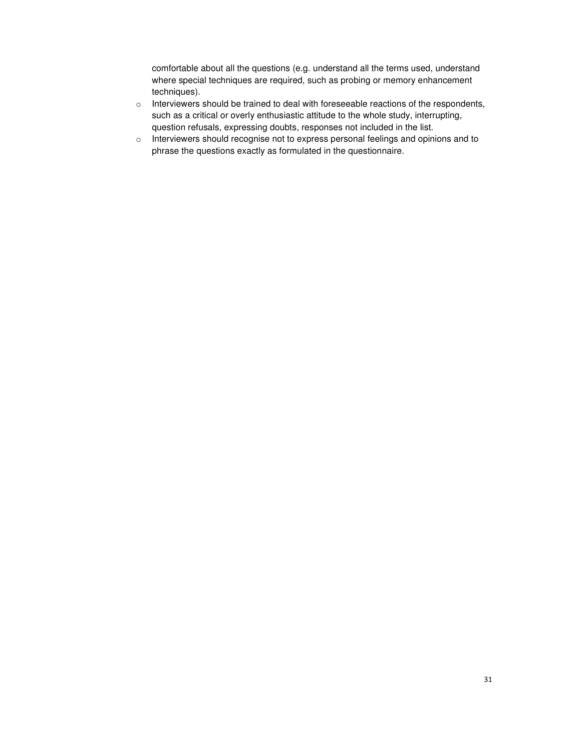comfortable about all the questions (e.g. understand all the terms used, understand where special techniques are required, such as probing or memory enhancement techniques).

- o Interviewers should be trained to deal with foreseeable reactions of the respondents, such as a critical or overly enthusiastic attitude to the whole study, interrupting, question refusals, expressing doubts, responses not included in the list.
- o Interviewers should recognise not to express personal feelings and opinions and to phrase the questions exactly as formulated in the questionnaire.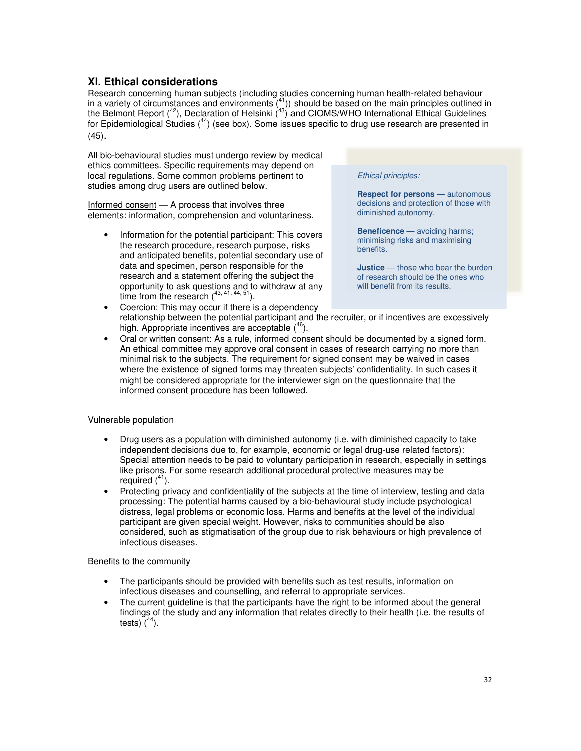# **XI. Ethical considerations**

Research concerning human subjects (including studies concerning human health-related behaviour in a variety of circumstances and environments  $(41)$ ) should be based on the main principles outlined in the Belmont Report  $(42)$ , Declaration of Helsinki  $(43)$  and CIOMS/WHO International Ethical Guidelines for Epidemiological Studies  $(44)$  (see box). Some issues specific to drug use research are presented in (45).

All bio-behavioural studies must undergo review by medical ethics committees. Specific requirements may depend on local regulations. Some common problems pertinent to studies among drug users are outlined below.

Informed consent — A process that involves three elements: information, comprehension and voluntariness.

• Information for the potential participant: This covers the research procedure, research purpose, risks and anticipated benefits, potential secondary use of data and specimen, person responsible for the research and a statement offering the subject the opportunity to ask questions and to withdraw at any time from the research  $(43, 41, 44, 51)$ .

#### Ethical principles:

**Respect for persons** — autonomous decisions and protection of those with diminished autonomy.

**Beneficence** — avoiding harms; minimising risks and maximising benefits.

**Justice** — those who bear the burden of research should be the ones who will benefit from its results.

- Coercion: This may occur if there is a dependency relationship between the potential participant and the recruiter, or if incentives are excessively high. Appropriate incentives are acceptable  $(46)$ .
- Oral or written consent: As a rule, informed consent should be documented by a signed form. An ethical committee may approve oral consent in cases of research carrying no more than minimal risk to the subjects. The requirement for signed consent may be waived in cases where the existence of signed forms may threaten subjects' confidentiality. In such cases it might be considered appropriate for the interviewer sign on the questionnaire that the informed consent procedure has been followed.

### Vulnerable population

- Drug users as a population with diminished autonomy (i.e. with diminished capacity to take independent decisions due to, for example, economic or legal drug-use related factors): Special attention needs to be paid to voluntary participation in research, especially in settings like prisons. For some research additional procedural protective measures may be required  $(^{41})$ .
- Protecting privacy and confidentiality of the subjects at the time of interview, testing and data processing: The potential harms caused by a bio-behavioural study include psychological distress, legal problems or economic loss. Harms and benefits at the level of the individual participant are given special weight. However, risks to communities should be also considered, such as stigmatisation of the group due to risk behaviours or high prevalence of infectious diseases.

#### Benefits to the community

- The participants should be provided with benefits such as test results, information on infectious diseases and counselling, and referral to appropriate services.
- The current guideline is that the participants have the right to be informed about the general findings of the study and any information that relates directly to their health (i.e. the results of tests)  $(^{44})$ .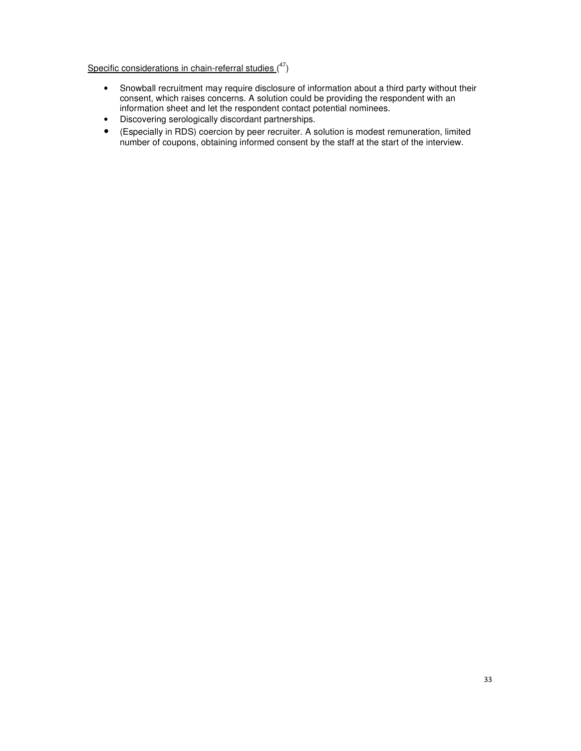Specific considerations in chain-referral studies  $(^{47})$ 

- Snowball recruitment may require disclosure of information about a third party without their consent, which raises concerns. A solution could be providing the respondent with an information sheet and let the respondent contact potential nominees.
- Discovering serologically discordant partnerships.
- (Especially in RDS) coercion by peer recruiter. A solution is modest remuneration, limited number of coupons, obtaining informed consent by the staff at the start of the interview.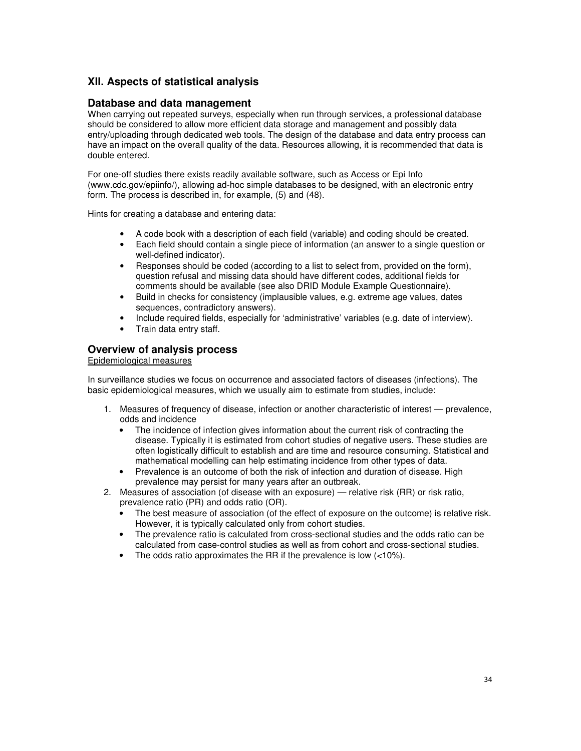# **XII. Aspects of statistical analysis**

### **Database and data management**

When carrying out repeated surveys, especially when run through services, a professional database should be considered to allow more efficient data storage and management and possibly data entry/uploading through dedicated web tools. The design of the database and data entry process can have an impact on the overall quality of the data. Resources allowing, it is recommended that data is double entered.

For one-off studies there exists readily available software, such as Access or Epi Info (www.cdc.gov/epiinfo/), allowing ad-hoc simple databases to be designed, with an electronic entry form. The process is described in, for example, (5) and (48).

Hints for creating a database and entering data:

- A code book with a description of each field (variable) and coding should be created.
- Each field should contain a single piece of information (an answer to a single question or well-defined indicator).
- Responses should be coded (according to a list to select from, provided on the form), question refusal and missing data should have different codes, additional fields for comments should be available (see also DRID Module Example Questionnaire).
- Build in checks for consistency (implausible values, e.g. extreme age values, dates sequences, contradictory answers).
- Include required fields, especially for 'administrative' variables (e.g. date of interview).
- Train data entry staff.

## **Overview of analysis process**

Epidemiological measures

In surveillance studies we focus on occurrence and associated factors of diseases (infections). The basic epidemiological measures, which we usually aim to estimate from studies, include:

- 1. Measures of frequency of disease, infection or another characteristic of interest prevalence, odds and incidence
	- The incidence of infection gives information about the current risk of contracting the disease. Typically it is estimated from cohort studies of negative users. These studies are often logistically difficult to establish and are time and resource consuming. Statistical and mathematical modelling can help estimating incidence from other types of data.
	- Prevalence is an outcome of both the risk of infection and duration of disease. High prevalence may persist for many years after an outbreak.
- 2. Measures of association (of disease with an exposure) relative risk (RR) or risk ratio, prevalence ratio (PR) and odds ratio (OR).
	- The best measure of association (of the effect of exposure on the outcome) is relative risk. However, it is typically calculated only from cohort studies.
	- The prevalence ratio is calculated from cross-sectional studies and the odds ratio can be calculated from case-control studies as well as from cohort and cross-sectional studies.
	- The odds ratio approximates the RR if the prevalence is low  $(<10\%)$ .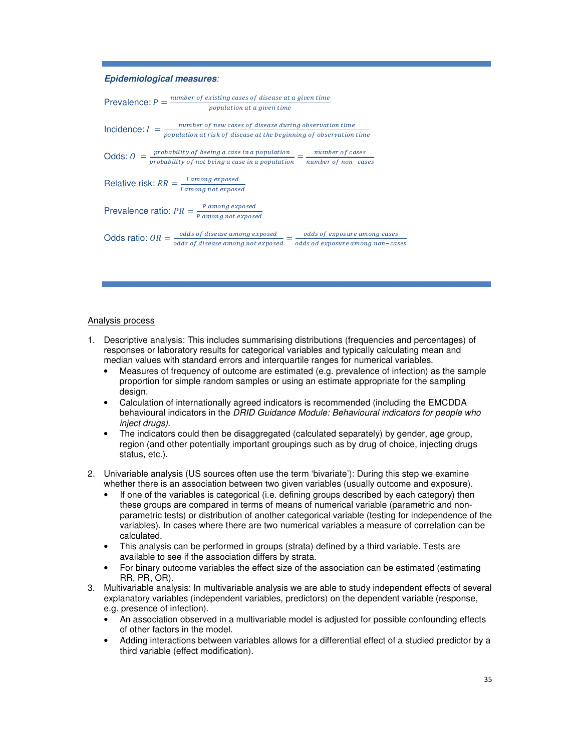#### **Epidemiological measures**:

| Prevalence: $P = \frac{number\ of\ existing\ cases\ of\ disease\ at\ a\ given\ time}$                                                                    |                                                                                                                                                                                                                                                                                                    |                                  |  |  |  |
|----------------------------------------------------------------------------------------------------------------------------------------------------------|----------------------------------------------------------------------------------------------------------------------------------------------------------------------------------------------------------------------------------------------------------------------------------------------------|----------------------------------|--|--|--|
| population at a given time                                                                                                                               |                                                                                                                                                                                                                                                                                                    |                                  |  |  |  |
| $number of new cases of disease during observation time\n\n    population at risk of disease at the beginning of observation time\n$<br>Incidence: $I =$ |                                                                                                                                                                                                                                                                                                    |                                  |  |  |  |
|                                                                                                                                                          | Odds: $0 = \frac{probability \space of \space being \space a \space case \space in \space a \space population}{probability \space of \space not \space being \space a \space case \space in \space a \space population} = \frac{number \space of \space cases}{number \space of \space non-cases}$ |                                  |  |  |  |
|                                                                                                                                                          |                                                                                                                                                                                                                                                                                                    |                                  |  |  |  |
|                                                                                                                                                          | Relative risk: $RR = \frac{I \, among \, exposed}{I \, among \, not \, exposed}$                                                                                                                                                                                                                   |                                  |  |  |  |
|                                                                                                                                                          | Prevalence ratio: $PR = \frac{P \, among \, exposed}{P \, among \, not \, exposed}$                                                                                                                                                                                                                |                                  |  |  |  |
|                                                                                                                                                          | Odds ratio: $OR = \frac{odds \text{ of disease among exposed}}{s} = \frac{odds \text{ of exposure among cases}}{s}$                                                                                                                                                                                |                                  |  |  |  |
|                                                                                                                                                          | odds of disease among not exposed                                                                                                                                                                                                                                                                  | odds od exposure among non-cases |  |  |  |
|                                                                                                                                                          |                                                                                                                                                                                                                                                                                                    |                                  |  |  |  |

#### Analysis process

- 1. Descriptive analysis: This includes summarising distributions (frequencies and percentages) of responses or laboratory results for categorical variables and typically calculating mean and median values with standard errors and interquartile ranges for numerical variables.
	- Measures of frequency of outcome are estimated (e.g. prevalence of infection) as the sample proportion for simple random samples or using an estimate appropriate for the sampling design.
	- Calculation of internationally agreed indicators is recommended (including the EMCDDA behavioural indicators in the DRID Guidance Module: Behavioural indicators for people who inject drugs).
	- The indicators could then be disaggregated (calculated separately) by gender, age group, region (and other potentially important groupings such as by drug of choice, injecting drugs status, etc.).
- 2. Univariable analysis (US sources often use the term 'bivariate'): During this step we examine whether there is an association between two given variables (usually outcome and exposure).
	- If one of the variables is categorical (i.e. defining groups described by each category) then these groups are compared in terms of means of numerical variable (parametric and nonparametric tests) or distribution of another categorical variable (testing for independence of the variables). In cases where there are two numerical variables a measure of correlation can be calculated.
	- This analysis can be performed in groups (strata) defined by a third variable. Tests are available to see if the association differs by strata.
	- For binary outcome variables the effect size of the association can be estimated (estimating RR, PR, OR).
- 3. Multivariable analysis: In multivariable analysis we are able to study independent effects of several explanatory variables (independent variables, predictors) on the dependent variable (response, e.g. presence of infection).
	- An association observed in a multivariable model is adjusted for possible confounding effects of other factors in the model.
	- Adding interactions between variables allows for a differential effect of a studied predictor by a third variable (effect modification).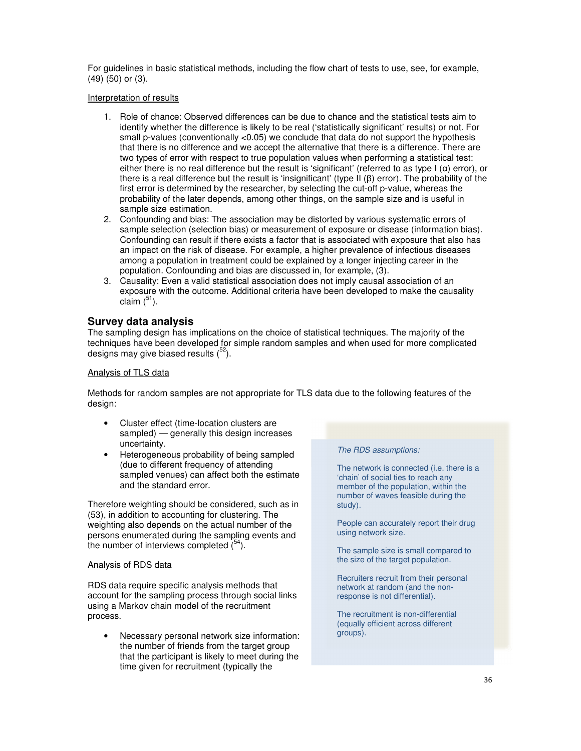For guidelines in basic statistical methods, including the flow chart of tests to use, see, for example, (49) (50) or (3).

Interpretation of results

- 1. Role of chance: Observed differences can be due to chance and the statistical tests aim to identify whether the difference is likely to be real ('statistically significant' results) or not. For small p-values (conventionally  $< 0.05$ ) we conclude that data do not support the hypothesis that there is no difference and we accept the alternative that there is a difference. There are two types of error with respect to true population values when performing a statistical test: either there is no real difference but the result is 'significant' (referred to as type  $I(\alpha)$  error), or there is a real difference but the result is 'insignificant' (type II (β) error). The probability of the first error is determined by the researcher, by selecting the cut-off p-value, whereas the probability of the later depends, among other things, on the sample size and is useful in sample size estimation.
- 2. Confounding and bias: The association may be distorted by various systematic errors of sample selection (selection bias) or measurement of exposure or disease (information bias). Confounding can result if there exists a factor that is associated with exposure that also has an impact on the risk of disease. For example, a higher prevalence of infectious diseases among a population in treatment could be explained by a longer injecting career in the population. Confounding and bias are discussed in, for example, (3).
- 3. Causality: Even a valid statistical association does not imply causal association of an exposure with the outcome. Additional criteria have been developed to make the causality claim  $(^{51})$ .

# **Survey data analysis**

The sampling design has implications on the choice of statistical techniques. The majority of the techniques have been developed for simple random samples and when used for more complicated designs may give biased results  $(^{52})$ .

### Analysis of TLS data

Methods for random samples are not appropriate for TLS data due to the following features of the design:

- Cluster effect (time-location clusters are sampled) — generally this design increases uncertainty.
- Heterogeneous probability of being sampled (due to different frequency of attending sampled venues) can affect both the estimate and the standard error.

Therefore weighting should be considered, such as in (53), in addition to accounting for clustering. The weighting also depends on the actual number of the persons enumerated during the sampling events and the number of interviews completed  $(^{54})$ .

#### Analysis of RDS data

RDS data require specific analysis methods that account for the sampling process through social links using a Markov chain model of the recruitment process.

• Necessary personal network size information: the number of friends from the target group that the participant is likely to meet during the time given for recruitment (typically the

#### The RDS assumptions:

The network is connected (i.e. there is a 'chain' of social ties to reach any member of the population, within the number of waves feasible during the study).

People can accurately report their drug using network size.

The sample size is small compared to the size of the target population.

Recruiters recruit from their personal network at random (and the nonresponse is not differential).

The recruitment is non-differential (equally efficient across different groups).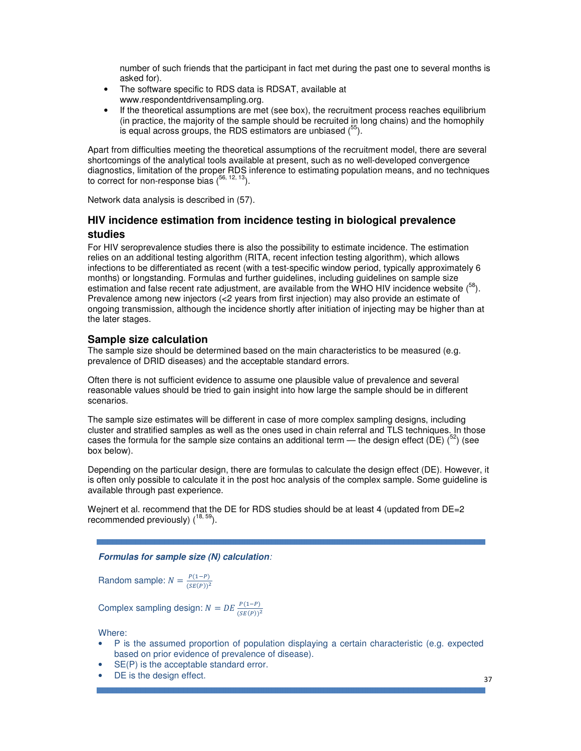number of such friends that the participant in fact met during the past one to several months is asked for).

- The software specific to RDS data is RDSAT, available at www.respondentdrivensampling.org.
- If the theoretical assumptions are met (see box), the recruitment process reaches equilibrium (in practice, the majority of the sample should be recruited in long chains) and the homophily is equal across groups, the RDS estimators are unbiased  $(^{55})$ .

Apart from difficulties meeting the theoretical assumptions of the recruitment model, there are several shortcomings of the analytical tools available at present, such as no well-developed convergence diagnostics, limitation of the proper RDS inference to estimating population means, and no techniques to correct for non-response bias  $(^{56, 12, 13})$ .

Network data analysis is described in (57).

# **HIV incidence estimation from incidence testing in biological prevalence studies**

For HIV seroprevalence studies there is also the possibility to estimate incidence. The estimation relies on an additional testing algorithm (RITA, recent infection testing algorithm), which allows infections to be differentiated as recent (with a test-specific window period, typically approximately 6 months) or longstanding. Formulas and further guidelines, including guidelines on sample size estimation and false recent rate adjustment, are available from the WHO HIV incidence website  $\binom{58}{ }$ . Prevalence among new injectors (<2 years from first injection) may also provide an estimate of ongoing transmission, although the incidence shortly after initiation of injecting may be higher than at the later stages.

### **Sample size calculation**

The sample size should be determined based on the main characteristics to be measured (e.g. prevalence of DRID diseases) and the acceptable standard errors.

Often there is not sufficient evidence to assume one plausible value of prevalence and several reasonable values should be tried to gain insight into how large the sample should be in different scenarios.

The sample size estimates will be different in case of more complex sampling designs, including cluster and stratified samples as well as the ones used in chain referral and TLS techniques. In those cases the formula for the sample size contains an additional term — the design effect (DE)  $^{52}$ ) (see box below).

Depending on the particular design, there are formulas to calculate the design effect (DE). However, it is often only possible to calculate it in the post hoc analysis of the complex sample. Some guideline is available through past experience.

Weinert et al. recommend that the DE for RDS studies should be at least 4 (updated from DE=2) recommended previously)  $(^{18, 59})$ .

#### **Formulas for sample size (N) calculation**:

Random sample:  $N = \frac{P(1-P)}{(SE(P))^2}$ 

Complex sampling design:  $N = DE \frac{P(1-P)}{(SE(P))^2}$ 

Where:

- P is the assumed proportion of population displaying a certain characteristic (e.g. expected based on prior evidence of prevalence of disease).
- SE(P) is the acceptable standard error.
- DE is the design effect.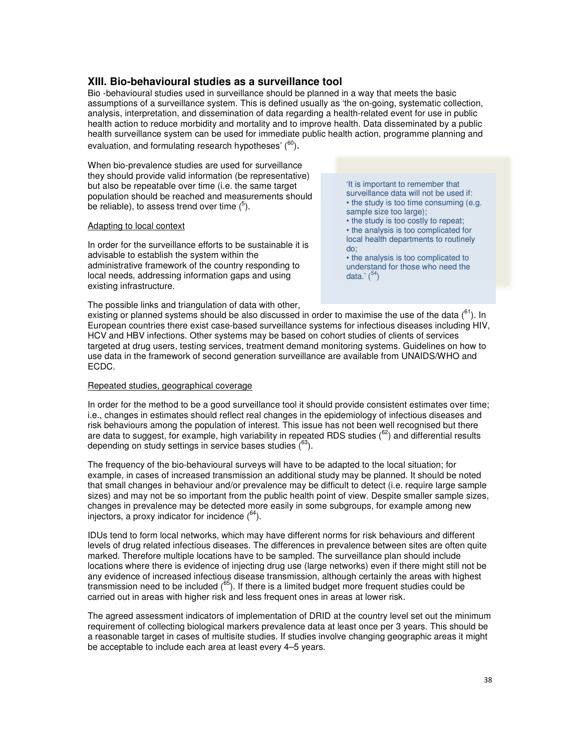### **XIII. Bio-behavioural studies as a surveillance tool**

Bio -behavioural studies used in surveillance should be planned in a way that meets the basic assumptions of a surveillance system. This is defined usually as 'the on-going, systematic collection, analysis, interpretation, and dissemination of data regarding a health-related event for use in public health action to reduce morbidity and mortality and to improve health. Data disseminated by a public health surveillance system can be used for immediate public health action, programme planning and evaluation, and formulating research hypotheses'  $(60)$ .

When bio-prevalence studies are used for surveillance they should provide valid information (be representative) but also be repeatable over time (i.e. the same target population should be reached and measurements should be reliable), to assess trend over time  $(^5)$ .

#### Adapting to local context

In order for the surveillance efforts to be sustainable it is advisable to establish the system within the administrative framework of the country responding to local needs, addressing information gaps and using existing infrastructure.

'It is important to remember that surveillance data will not be used if: • the study is too time consuming (e.g. sample size too large);

• the study is too costly to repeat;

• the analysis is too complicated for local health departments to routinely do;

• the analysis is too complicated to understand for those who need the data.'  $(^{54})$ 

The possible links and triangulation of data with other, existing or planned systems should be also discussed in order to maximise the use of the data  $(^{61})$ . In

European countries there exist case-based surveillance systems for infectious diseases including HIV, HCV and HBV infections. Other systems may be based on cohort studies of clients of services targeted at drug users, testing services, treatment demand monitoring systems. Guidelines on how to use data in the framework of second generation surveillance are available from UNAIDS/WHO and ECDC.

### Repeated studies, geographical coverage

In order for the method to be a good surveillance tool it should provide consistent estimates over time; i.e., changes in estimates should reflect real changes in the epidemiology of infectious diseases and risk behaviours among the population of interest. This issue has not been well recognised but there are data to suggest, for example, high variability in repeated RDS studies  $(^{62})$  and differential results depending on study settings in service bases studies  $(^{63})$ .

The frequency of the bio-behavioural surveys will have to be adapted to the local situation; for example, in cases of increased transmission an additional study may be planned. It should be noted that small changes in behaviour and/or prevalence may be difficult to detect (i.e. require large sample sizes) and may not be so important from the public health point of view. Despite smaller sample sizes, changes in prevalence may be detected more easily in some subgroups, for example among new injectors, a proxy indicator for incidence  $(^{64})$ .

IDUs tend to form local networks, which may have different norms for risk behaviours and different levels of drug related infectious diseases. The differences in prevalence between sites are often quite marked. Therefore multiple locations have to be sampled. The surveillance plan should include locations where there is evidence of injecting drug use (large networks) even if there might still not be any evidence of increased infectious disease transmission, although certainly the areas with highest transmission need to be included  $(^{65})$ . If there is a limited budget more frequent studies could be carried out in areas with higher risk and less frequent ones in areas at lower risk.

The agreed assessment indicators of implementation of DRID at the country level set out the minimum requirement of collecting biological markers prevalence data at least once per 3 years. This should be a reasonable target in cases of multisite studies. If studies involve changing geographic areas it might be acceptable to include each area at least every 4–5 years.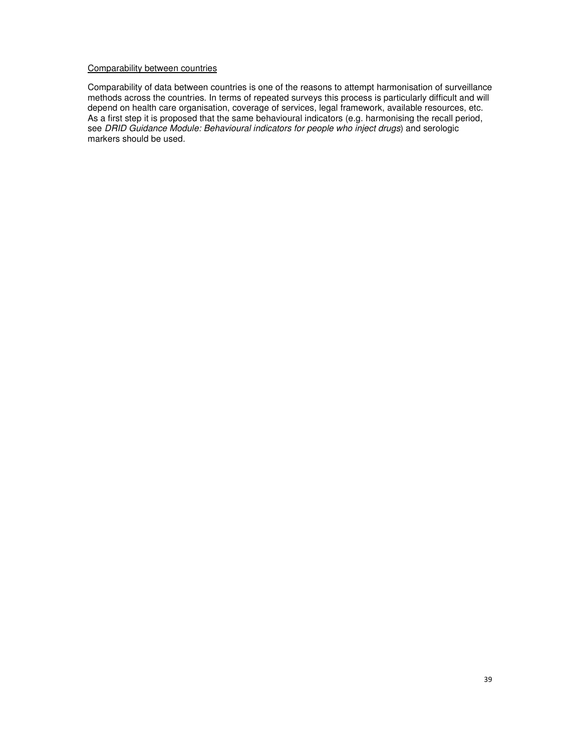#### Comparability between countries

Comparability of data between countries is one of the reasons to attempt harmonisation of surveillance methods across the countries. In terms of repeated surveys this process is particularly difficult and will depend on health care organisation, coverage of services, legal framework, available resources, etc. As a first step it is proposed that the same behavioural indicators (e.g. harmonising the recall period, see DRID Guidance Module: Behavioural indicators for people who inject drugs) and serologic markers should be used.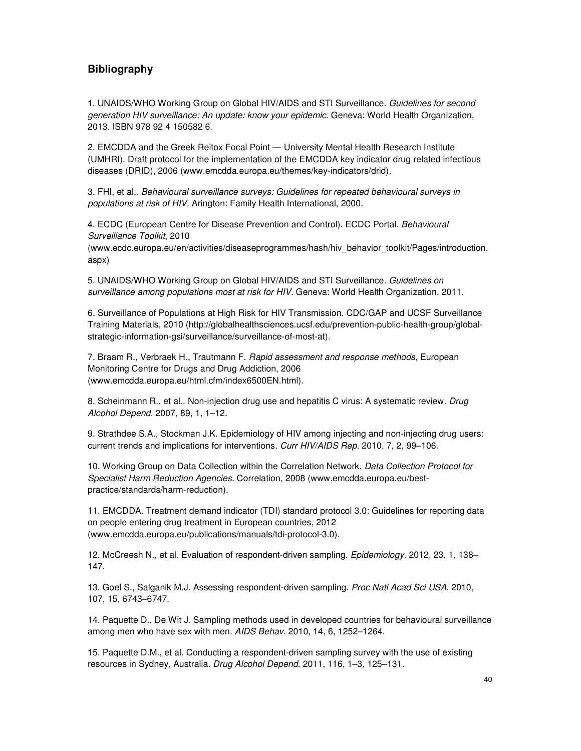## **Bibliography**

1. UNAIDS/WHO Working Group on Global HIV/AIDS and STI Surveillance. Guidelines for second generation HIV surveillance: An update: know your epidemic. Geneva: World Health Organization, 2013. ISBN 978 92 4 150582 6.

2. EMCDDA and the Greek Reitox Focal Point — University Mental Health Research Institute (UMHRI). Draft protocol for the implementation of the EMCDDA key indicator drug related infectious diseases (DRID), 2006 (www.emcdda.europa.eu/themes/key-indicators/drid).

3. FHI, et al.. Behavioural surveillance surveys: Guidelines for repeated behavioural surveys in populations at risk of HIV. Arington: Family Health International, 2000.

4. ECDC (European Centre for Disease Prevention and Control). ECDC Portal. Behavioural Surveillance Toolkit, 2010

(www.ecdc.europa.eu/en/activities/diseaseprogrammes/hash/hiv\_behavior\_toolkit/Pages/introduction. aspx)

5. UNAIDS/WHO Working Group on Global HIV/AIDS and STI Surveillance. Guidelines on surveillance among populations most at risk for HIV. Geneva: World Health Organization, 2011.

6. Surveillance of Populations at High Risk for HIV Transmission. CDC/GAP and UCSF Surveillance Training Materials, 2010 (http://globalhealthsciences.ucsf.edu/prevention-public-health-group/globalstrategic-information-gsi/surveillance/surveillance-of-most-at).

7. Braam R., Verbraek H., Trautmann F. Rapid assessment and response methods, European Monitoring Centre for Drugs and Drug Addiction, 2006 (www.emcdda.europa.eu/html.cfm/index6500EN.html).

8. Scheinmann R., et al.. Non-injection drug use and hepatitis C virus: A systematic review. Drug Alcohol Depend. 2007, 89, 1, 1–12.

9. Strathdee S.A., Stockman J.K. Epidemiology of HIV among injecting and non-injecting drug users: current trends and implications for interventions. Curr HIV/AIDS Rep. 2010, 7, 2, 99–106.

10. Working Group on Data Collection within the Correlation Network. Data Collection Protocol for Specialist Harm Reduction Agencies. Correlation, 2008 (www.emcdda.europa.eu/bestpractice/standards/harm-reduction).

11. EMCDDA. Treatment demand indicator (TDI) standard protocol 3.0: Guidelines for reporting data on people entering drug treatment in European countries, 2012 (www.emcdda.europa.eu/publications/manuals/tdi-protocol-3.0).

12. McCreesh N., et al. Evaluation of respondent-driven sampling. Epidemiology. 2012, 23, 1, 138– 147.

13. Goel S., Salganik M.J. Assessing respondent-driven sampling. Proc Natl Acad Sci USA. 2010, 107, 15, 6743–6747.

14. Paquette D., De Wit J. Sampling methods used in developed countries for behavioural surveillance among men who have sex with men. AIDS Behav. 2010, 14, 6, 1252–1264.

15. Paquette D.M., et al. Conducting a respondent-driven sampling survey with the use of existing resources in Sydney, Australia. Drug Alcohol Depend. 2011, 116, 1–3, 125–131.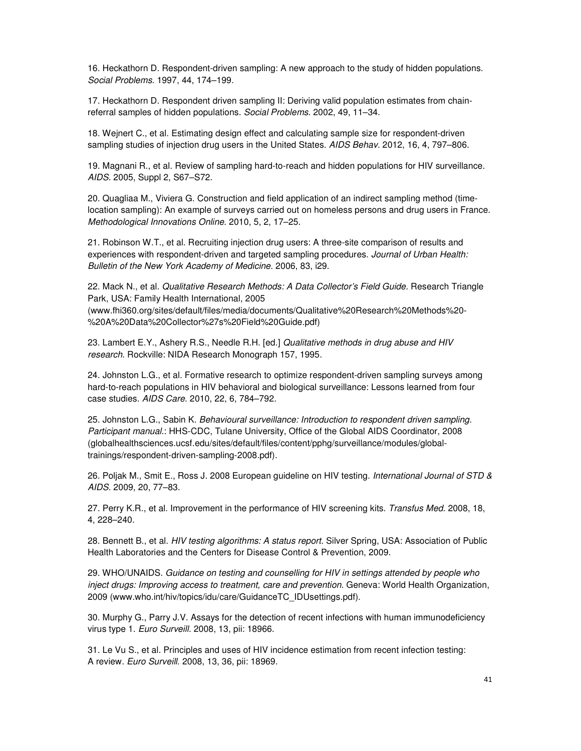16. Heckathorn D. Respondent-driven sampling: A new approach to the study of hidden populations. Social Problems. 1997, 44, 174–199.

17. Heckathorn D. Respondent driven sampling II: Deriving valid population estimates from chainreferral samples of hidden populations. Social Problems. 2002, 49, 11–34.

18. Wejnert C., et al. Estimating design effect and calculating sample size for respondent-driven sampling studies of injection drug users in the United States. AIDS Behav. 2012, 16, 4, 797–806.

19. Magnani R., et al. Review of sampling hard-to-reach and hidden populations for HIV surveillance. AIDS. 2005, Suppl 2, S67–S72.

20. Quagliaa M., Viviera G. Construction and field application of an indirect sampling method (timelocation sampling): An example of surveys carried out on homeless persons and drug users in France. Methodological Innovations Online. 2010, 5, 2, 17–25.

21. Robinson W.T., et al. Recruiting injection drug users: A three-site comparison of results and experiences with respondent-driven and targeted sampling procedures. Journal of Urban Health: Bulletin of the New York Academy of Medicine. 2006, 83, i29.

22. Mack N., et al. Qualitative Research Methods: A Data Collector's Field Guide. Research Triangle Park, USA: Family Health International, 2005 (www.fhi360.org/sites/default/files/media/documents/Qualitative%20Research%20Methods%20- %20A%20Data%20Collector%27s%20Field%20Guide.pdf)

23. Lambert E.Y., Ashery R.S., Needle R.H. [ed.] Qualitative methods in drug abuse and HIV research. Rockville: NIDA Research Monograph 157, 1995.

24. Johnston L.G., et al. Formative research to optimize respondent-driven sampling surveys among hard-to-reach populations in HIV behavioral and biological surveillance: Lessons learned from four case studies. AIDS Care. 2010, 22, 6, 784–792.

25. Johnston L.G., Sabin K. Behavioural surveillance: Introduction to respondent driven sampling. Participant manual.: HHS-CDC, Tulane University, Office of the Global AIDS Coordinator, 2008 (globalhealthsciences.ucsf.edu/sites/default/files/content/pphg/surveillance/modules/globaltrainings/respondent-driven-sampling-2008.pdf).

26. Poljak M., Smit E., Ross J. 2008 European guideline on HIV testing. International Journal of STD & AIDS. 2009, 20, 77–83.

27. Perry K.R., et al. Improvement in the performance of HIV screening kits. Transfus Med. 2008, 18, 4, 228–240.

28. Bennett B., et al. HIV testing algorithms: A status report. Silver Spring, USA: Association of Public Health Laboratories and the Centers for Disease Control & Prevention, 2009.

29. WHO/UNAIDS. Guidance on testing and counselling for HIV in settings attended by people who inject drugs: Improving access to treatment, care and prevention. Geneva: World Health Organization, 2009 (www.who.int/hiv/topics/idu/care/GuidanceTC\_IDUsettings.pdf).

30. Murphy G., Parry J.V. Assays for the detection of recent infections with human immunodeficiency virus type 1. Euro Surveill. 2008, 13, pii: 18966.

31. Le Vu S., et al. Principles and uses of HIV incidence estimation from recent infection testing: A review. Euro Surveill. 2008, 13, 36, pii: 18969.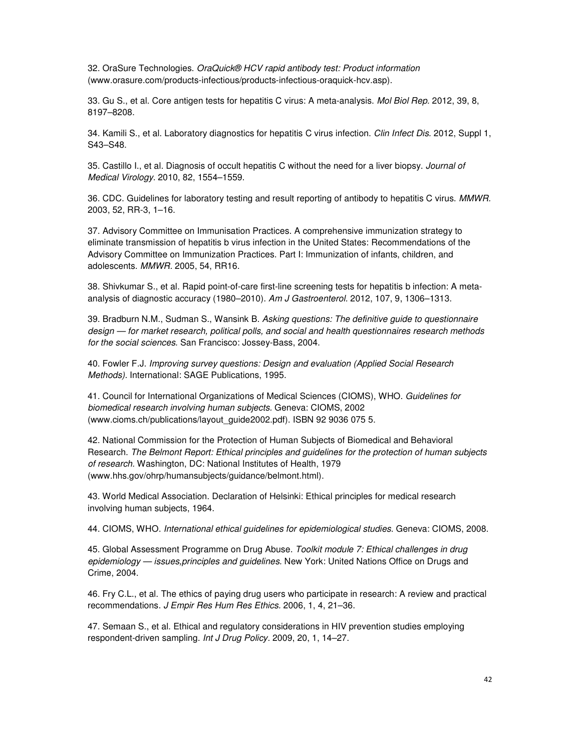32. OraSure Technologies. OraQuick® HCV rapid antibody test: Product information (www.orasure.com/products-infectious/products-infectious-oraquick-hcv.asp).

33. Gu S., et al. Core antigen tests for hepatitis C virus: A meta-analysis. Mol Biol Rep. 2012, 39, 8, 8197–8208.

34. Kamili S., et al. Laboratory diagnostics for hepatitis C virus infection. Clin Infect Dis. 2012, Suppl 1, S43–S48.

35. Castillo I., et al. Diagnosis of occult hepatitis C without the need for a liver biopsy. Journal of Medical Virology. 2010, 82, 1554–1559.

36. CDC. Guidelines for laboratory testing and result reporting of antibody to hepatitis C virus. MMWR. 2003, 52, RR-3, 1–16.

37. Advisory Committee on Immunisation Practices. A comprehensive immunization strategy to eliminate transmission of hepatitis b virus infection in the United States: Recommendations of the Advisory Committee on Immunization Practices. Part I: Immunization of infants, children, and adolescents. MMWR. 2005, 54, RR16.

38. Shivkumar S., et al. Rapid point-of-care first-line screening tests for hepatitis b infection: A metaanalysis of diagnostic accuracy (1980–2010). Am J Gastroenterol. 2012, 107, 9, 1306–1313.

39. Bradburn N.M., Sudman S., Wansink B. Asking questions: The definitive quide to questionnaire design — for market research, political polls, and social and health questionnaires research methods for the social sciences. San Francisco: Jossey-Bass, 2004.

40. Fowler F.J. Improving survey questions: Design and evaluation (Applied Social Research Methods). International: SAGE Publications, 1995.

41. Council for International Organizations of Medical Sciences (CIOMS), WHO. Guidelines for biomedical research involving human subjects. Geneva: CIOMS, 2002 (www.cioms.ch/publications/layout\_guide2002.pdf). ISBN 92 9036 075 5.

42. National Commission for the Protection of Human Subjects of Biomedical and Behavioral Research. The Belmont Report: Ethical principles and guidelines for the protection of human subjects of research. Washington, DC: National Institutes of Health, 1979 (www.hhs.gov/ohrp/humansubjects/guidance/belmont.html).

43. World Medical Association. Declaration of Helsinki: Ethical principles for medical research involving human subjects, 1964.

44. CIOMS, WHO. International ethical guidelines for epidemiological studies. Geneva: CIOMS, 2008.

45. Global Assessment Programme on Drug Abuse. Toolkit module 7: Ethical challenges in drug epidemiology — issues, principles and guidelines. New York: United Nations Office on Drugs and Crime, 2004.

46. Fry C.L., et al. The ethics of paying drug users who participate in research: A review and practical recommendations. J Empir Res Hum Res Ethics. 2006, 1, 4, 21–36.

47. Semaan S., et al. Ethical and regulatory considerations in HIV prevention studies employing respondent-driven sampling. Int J Drug Policy. 2009, 20, 1, 14–27.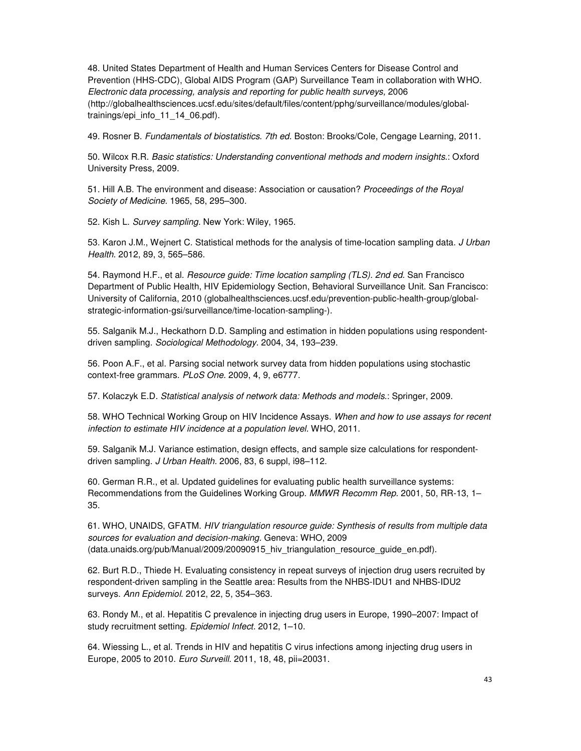48. United States Department of Health and Human Services Centers for Disease Control and Prevention (HHS-CDC), Global AIDS Program (GAP) Surveillance Team in collaboration with WHO. Electronic data processing, analysis and reporting for public health surveys, 2006 (http://globalhealthsciences.ucsf.edu/sites/default/files/content/pphg/surveillance/modules/globaltrainings/epi\_info\_11\_14\_06.pdf).

49. Rosner B. Fundamentals of biostatistics. 7th ed. Boston: Brooks/Cole, Cengage Learning, 2011.

50. Wilcox R.R. Basic statistics: Understanding conventional methods and modern insights.: Oxford University Press, 2009.

51. Hill A.B. The environment and disease: Association or causation? Proceedings of the Royal Society of Medicine. 1965, 58, 295–300.

52. Kish L. Survey sampling. New York: Wiley, 1965.

53. Karon J.M., Weinert C. Statistical methods for the analysis of time-location sampling data. J Urban Health. 2012, 89, 3, 565–586.

54. Raymond H.F., et al. *Resource guide: Time location sampling (TLS). 2nd ed.* San Francisco Department of Public Health, HIV Epidemiology Section, Behavioral Surveillance Unit. San Francisco: University of California, 2010 (globalhealthsciences.ucsf.edu/prevention-public-health-group/globalstrategic-information-gsi/surveillance/time-location-sampling-).

55. Salganik M.J., Heckathorn D.D. Sampling and estimation in hidden populations using respondentdriven sampling. Sociological Methodology. 2004, 34, 193–239.

56. Poon A.F., et al. Parsing social network survey data from hidden populations using stochastic context-free grammars. PLoS One. 2009, 4, 9, e6777.

57. Kolaczyk E.D. Statistical analysis of network data: Methods and models.: Springer, 2009.

58. WHO Technical Working Group on HIV Incidence Assays. When and how to use assays for recent infection to estimate HIV incidence at a population level. WHO, 2011.

59. Salganik M.J. Variance estimation, design effects, and sample size calculations for respondentdriven sampling. J Urban Health. 2006, 83, 6 suppl, i98–112.

60. German R.R., et al. Updated guidelines for evaluating public health surveillance systems: Recommendations from the Guidelines Working Group. MMWR Recomm Rep. 2001, 50, RR-13, 1– 35.

61. WHO, UNAIDS, GFATM. HIV triangulation resource guide: Synthesis of results from multiple data sources for evaluation and decision-making. Geneva: WHO, 2009 (data.unaids.org/pub/Manual/2009/20090915 hiv triangulation resource guide en.pdf).

62. Burt R.D., Thiede H. Evaluating consistency in repeat surveys of injection drug users recruited by respondent-driven sampling in the Seattle area: Results from the NHBS-IDU1 and NHBS-IDU2 surveys. Ann Epidemiol. 2012, 22, 5, 354–363.

63. Rondy M., et al. Hepatitis C prevalence in injecting drug users in Europe, 1990–2007: Impact of study recruitment setting. Epidemiol Infect. 2012, 1–10.

64. Wiessing L., et al. Trends in HIV and hepatitis C virus infections among injecting drug users in Europe, 2005 to 2010. Euro Surveill. 2011, 18, 48, pii=20031.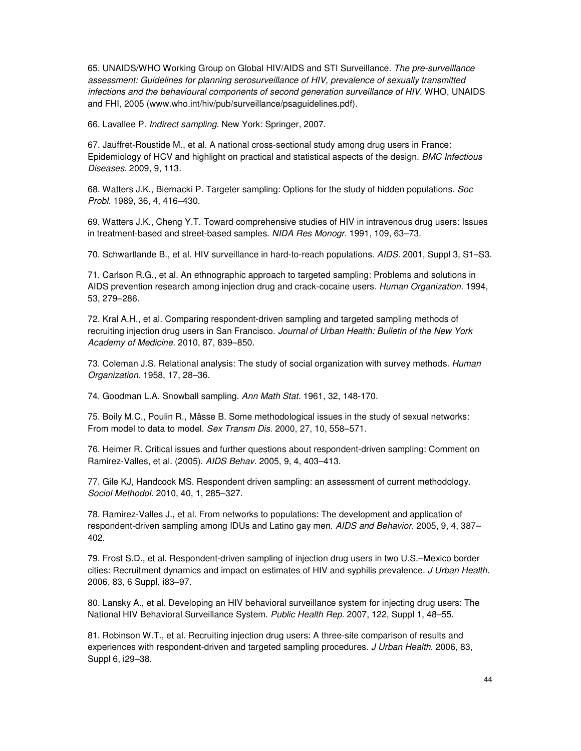65. UNAIDS/WHO Working Group on Global HIV/AIDS and STI Surveillance. The pre-surveillance assessment: Guidelines for planning serosurveillance of HIV, prevalence of sexually transmitted infections and the behavioural components of second generation surveillance of HIV. WHO, UNAIDS and FHI, 2005 (www.who.int/hiv/pub/surveillance/psaguidelines.pdf).

66. Lavallee P. Indirect sampling. New York: Springer, 2007.

67. Jauffret-Roustide M., et al. A national cross-sectional study among drug users in France: Epidemiology of HCV and highlight on practical and statistical aspects of the design. BMC Infectious Diseases. 2009, 9, 113.

68. Watters J.K., Biernacki P. Targeter sampling: Options for the study of hidden populations. Soc Probl. 1989, 36, 4, 416–430.

69. Watters J.K., Cheng Y.T. Toward comprehensive studies of HIV in intravenous drug users: Issues in treatment-based and street-based samples. NIDA Res Monogr. 1991, 109, 63–73.

70. Schwartlande B., et al. HIV surveillance in hard-to-reach populations. AIDS. 2001, Suppl 3, S1–S3.

71. Carlson R.G., et al. An ethnographic approach to targeted sampling: Problems and solutions in AIDS prevention research among injection drug and crack-cocaine users. Human Organization. 1994, 53, 279–286.

72. Kral A.H., et al. Comparing respondent-driven sampling and targeted sampling methods of recruiting injection drug users in San Francisco. Journal of Urban Health: Bulletin of the New York Academy of Medicine. 2010, 87, 839–850.

73. Coleman J.S. Relational analysis: The study of social organization with survey methods. Human Organization. 1958, 17, 28–36.

74. Goodman L.A. Snowball sampling. Ann Math Stat. 1961, 32, 148-170.

75. Boily M.C., Poulin R., Mâsse B. Some methodological issues in the study of sexual networks: From model to data to model. Sex Transm Dis. 2000, 27, 10, 558–571.

76. Heimer R. Critical issues and further questions about respondent-driven sampling: Comment on Ramirez-Valles, et al. (2005). AIDS Behav. 2005, 9, 4, 403–413.

77. Gile KJ, Handcock MS. Respondent driven sampling: an assessment of current methodology. Sociol Methodol. 2010, 40, 1, 285–327.

78. Ramirez-Valles J., et al. From networks to populations: The development and application of respondent-driven sampling among IDUs and Latino gay men. AIDS and Behavior. 2005, 9, 4, 387-402.

79. Frost S.D., et al. Respondent-driven sampling of injection drug users in two U.S.–Mexico border cities: Recruitment dynamics and impact on estimates of HIV and syphilis prevalence. J Urban Health. 2006, 83, 6 Suppl, i83–97.

80. Lansky A., et al. Developing an HIV behavioral surveillance system for injecting drug users: The National HIV Behavioral Surveillance System. Public Health Rep. 2007, 122, Suppl 1, 48–55.

81. Robinson W.T., et al. Recruiting injection drug users: A three-site comparison of results and experiences with respondent-driven and targeted sampling procedures. J Urban Health. 2006, 83, Suppl 6, i29–38.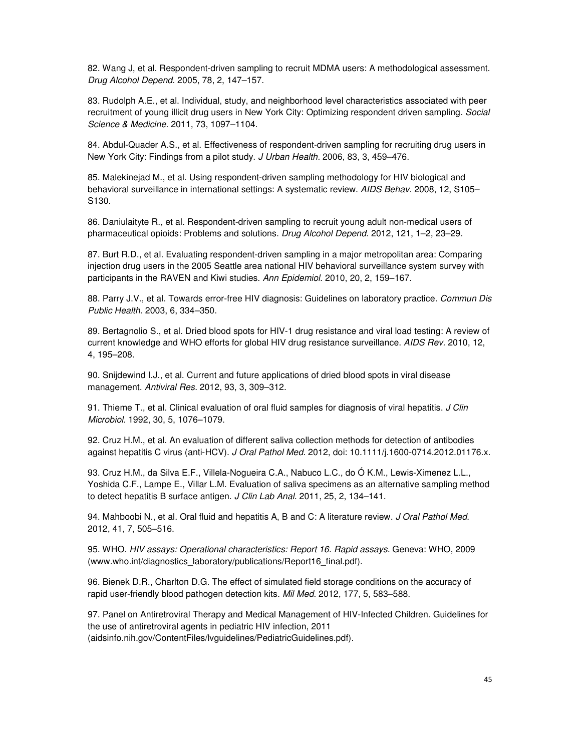82. Wang J, et al. Respondent-driven sampling to recruit MDMA users: A methodological assessment. Drug Alcohol Depend. 2005, 78, 2, 147–157.

83. Rudolph A.E., et al. Individual, study, and neighborhood level characteristics associated with peer recruitment of young illicit drug users in New York City: Optimizing respondent driven sampling. Social Science & Medicine. 2011, 73, 1097–1104.

84. Abdul-Quader A.S., et al. Effectiveness of respondent-driven sampling for recruiting drug users in New York City: Findings from a pilot study. J Urban Health. 2006, 83, 3, 459–476.

85. Malekinejad M., et al. Using respondent-driven sampling methodology for HIV biological and behavioral surveillance in international settings: A systematic review. AIDS Behav. 2008, 12, S105-S130.

86. Daniulaityte R., et al. Respondent-driven sampling to recruit young adult non-medical users of pharmaceutical opioids: Problems and solutions. Drug Alcohol Depend. 2012, 121, 1–2, 23–29.

87. Burt R.D., et al. Evaluating respondent-driven sampling in a major metropolitan area: Comparing injection drug users in the 2005 Seattle area national HIV behavioral surveillance system survey with participants in the RAVEN and Kiwi studies. Ann Epidemiol. 2010, 20, 2, 159–167.

88. Parry J.V., et al. Towards error-free HIV diagnosis: Guidelines on laboratory practice. Commun Dis Public Health. 2003, 6, 334–350.

89. Bertagnolio S., et al. Dried blood spots for HIV-1 drug resistance and viral load testing: A review of current knowledge and WHO efforts for global HIV drug resistance surveillance. AIDS Rev. 2010, 12, 4, 195–208.

90. Snijdewind I.J., et al. Current and future applications of dried blood spots in viral disease management. Antiviral Res. 2012, 93, 3, 309–312.

91. Thieme T., et al. Clinical evaluation of oral fluid samples for diagnosis of viral hepatitis. *J Clin* Microbiol. 1992, 30, 5, 1076–1079.

92. Cruz H.M., et al. An evaluation of different saliva collection methods for detection of antibodies against hepatitis C virus (anti-HCV). J Oral Pathol Med. 2012, doi: 10.1111/j.1600-0714.2012.01176.x.

93. Cruz H.M., da Silva E.F., Villela-Nogueira C.A., Nabuco L.C., do Ó K.M., Lewis-Ximenez L.L., Yoshida C.F., Lampe E., Villar L.M. Evaluation of saliva specimens as an alternative sampling method to detect hepatitis B surface antigen. J Clin Lab Anal. 2011, 25, 2, 134–141.

94. Mahboobi N., et al. Oral fluid and hepatitis A, B and C: A literature review. J Oral Pathol Med. 2012, 41, 7, 505–516.

95. WHO. HIV assays: Operational characteristics: Report 16. Rapid assays. Geneva: WHO, 2009 (www.who.int/diagnostics\_laboratory/publications/Report16\_final.pdf).

96. Bienek D.R., Charlton D.G. The effect of simulated field storage conditions on the accuracy of rapid user-friendly blood pathogen detection kits. Mil Med. 2012, 177, 5, 583–588.

97. Panel on Antiretroviral Therapy and Medical Management of HIV-Infected Children. Guidelines for the use of antiretroviral agents in pediatric HIV infection, 2011 (aidsinfo.nih.gov/ContentFiles/lvguidelines/PediatricGuidelines.pdf).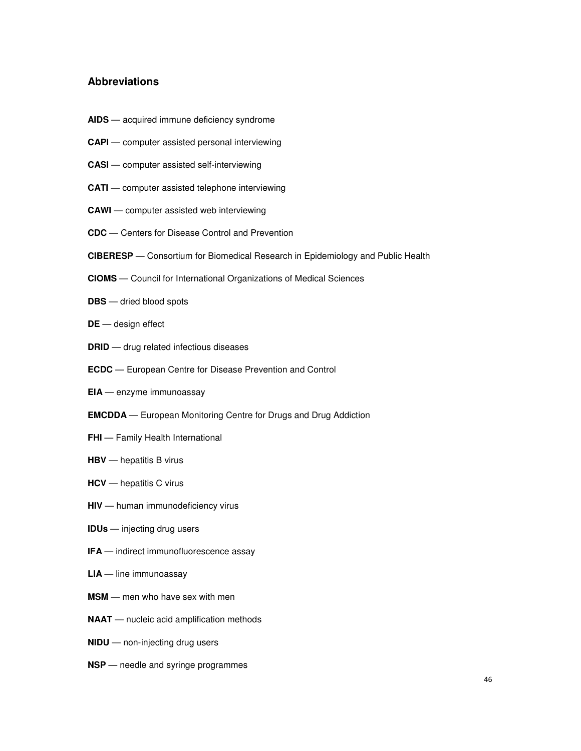### **Abbreviations**

- **AIDS** acquired immune deficiency syndrome
- **CAPI** computer assisted personal interviewing
- **CASI** computer assisted self-interviewing
- **CATI** computer assisted telephone interviewing
- **CAWI** computer assisted web interviewing
- **CDC** Centers for Disease Control and Prevention
- **CIBERESP**  Consortium for Biomedical Research in Epidemiology and Public Health
- **CIOMS** Council for International Organizations of Medical Sciences
- **DBS** dried blood spots
- **DE** design effect
- **DRID** drug related infectious diseases
- **ECDC** European Centre for Disease Prevention and Control
- **EIA** enzyme immunoassay
- **EMCDDA** European Monitoring Centre for Drugs and Drug Addiction
- **FHI** Family Health International
- **HBV** hepatitis B virus
- **HCV** hepatitis C virus
- **HIV** human immunodeficiency virus
- **IDUs** injecting drug users
- **IFA** indirect immunofluorescence assay
- **LIA** line immunoassay
- **MSM** men who have sex with men
- **NAAT** nucleic acid amplification methods
- **NIDU** non-injecting drug users
- **NSP** needle and syringe programmes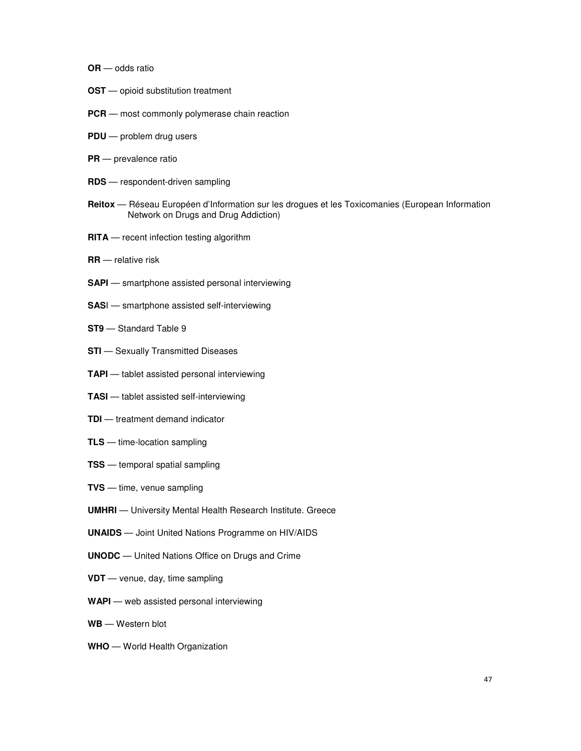- **OR** odds ratio
- **OST** opioid substitution treatment
- **PCR** most commonly polymerase chain reaction
- **PDU** problem drug users
- **PR** prevalence ratio
- **RDS** respondent-driven sampling
- **Reitox** Réseau Européen d'Information sur les drogues et les Toxicomanies (European Information Network on Drugs and Drug Addiction)
- **RITA** recent infection testing algorithm
- **RR** relative risk
- **SAPI** smartphone assisted personal interviewing
- **SAS**I smartphone assisted self-interviewing
- **ST9** Standard Table 9
- **STI** Sexually Transmitted Diseases
- **TAPI** tablet assisted personal interviewing
- **TASI** tablet assisted self-interviewing
- **TDI** treatment demand indicator
- **TLS** time-location sampling
- **TSS** temporal spatial sampling
- **TVS** time, venue sampling
- **UMHRI** University Mental Health Research Institute. Greece
- **UNAIDS** Joint United Nations Programme on HIV/AIDS
- **UNODC** United Nations Office on Drugs and Crime
- **VDT** venue, day, time sampling
- **WAPI** web assisted personal interviewing
- **WB** Western blot
- **WHO** World Health Organization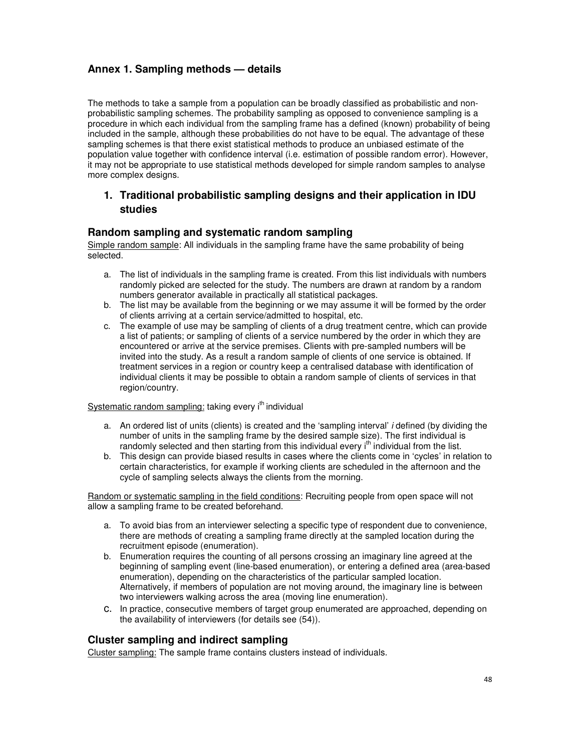# **Annex 1. Sampling methods — details**

The methods to take a sample from a population can be broadly classified as probabilistic and nonprobabilistic sampling schemes. The probability sampling as opposed to convenience sampling is a procedure in which each individual from the sampling frame has a defined (known) probability of being included in the sample, although these probabilities do not have to be equal. The advantage of these sampling schemes is that there exist statistical methods to produce an unbiased estimate of the population value together with confidence interval (i.e. estimation of possible random error). However, it may not be appropriate to use statistical methods developed for simple random samples to analyse more complex designs.

# **1. Traditional probabilistic sampling designs and their application in IDU studies**

### **Random sampling and systematic random sampling**

Simple random sample: All individuals in the sampling frame have the same probability of being selected.

- a. The list of individuals in the sampling frame is created. From this list individuals with numbers randomly picked are selected for the study. The numbers are drawn at random by a random numbers generator available in practically all statistical packages.
- b. The list may be available from the beginning or we may assume it will be formed by the order of clients arriving at a certain service/admitted to hospital, etc.
- c. The example of use may be sampling of clients of a drug treatment centre, which can provide a list of patients; or sampling of clients of a service numbered by the order in which they are encountered or arrive at the service premises. Clients with pre-sampled numbers will be invited into the study. As a result a random sample of clients of one service is obtained. If treatment services in a region or country keep a centralised database with identification of individual clients it may be possible to obtain a random sample of clients of services in that region/country.

### Systematic random sampling: taking every i<sup>th</sup> individual

- a. An ordered list of units (clients) is created and the 'sampling interval' i defined (by dividing the number of units in the sampling frame by the desired sample size). The first individual is randomly selected and then starting from this individual every i<sup>th</sup> individual from the list.
- b. This design can provide biased results in cases where the clients come in 'cycles' in relation to certain characteristics, for example if working clients are scheduled in the afternoon and the cycle of sampling selects always the clients from the morning.

Random or systematic sampling in the field conditions: Recruiting people from open space will not allow a sampling frame to be created beforehand.

- a. To avoid bias from an interviewer selecting a specific type of respondent due to convenience, there are methods of creating a sampling frame directly at the sampled location during the recruitment episode (enumeration).
- b. Enumeration requires the counting of all persons crossing an imaginary line agreed at the beginning of sampling event (line-based enumeration), or entering a defined area (area-based enumeration), depending on the characteristics of the particular sampled location. Alternatively, if members of population are not moving around, the imaginary line is between two interviewers walking across the area (moving line enumeration).
- c. In practice, consecutive members of target group enumerated are approached, depending on the availability of interviewers (for details see (54)).

### **Cluster sampling and indirect sampling**

Cluster sampling: The sample frame contains clusters instead of individuals.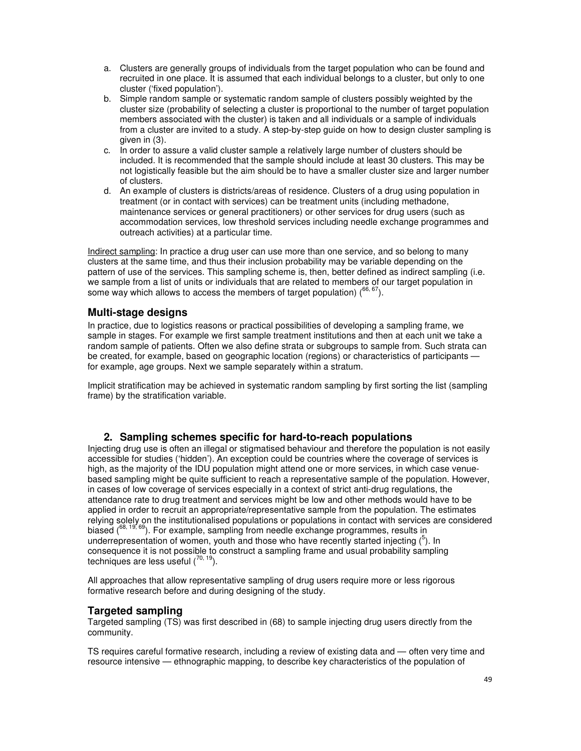- a. Clusters are generally groups of individuals from the target population who can be found and recruited in one place. It is assumed that each individual belongs to a cluster, but only to one cluster ('fixed population').
- b. Simple random sample or systematic random sample of clusters possibly weighted by the cluster size (probability of selecting a cluster is proportional to the number of target population members associated with the cluster) is taken and all individuals or a sample of individuals from a cluster are invited to a study. A step-by-step guide on how to design cluster sampling is given in (3).
- c. In order to assure a valid cluster sample a relatively large number of clusters should be included. It is recommended that the sample should include at least 30 clusters. This may be not logistically feasible but the aim should be to have a smaller cluster size and larger number of clusters.
- d. An example of clusters is districts/areas of residence. Clusters of a drug using population in treatment (or in contact with services) can be treatment units (including methadone, maintenance services or general practitioners) or other services for drug users (such as accommodation services, low threshold services including needle exchange programmes and outreach activities) at a particular time.

Indirect sampling: In practice a drug user can use more than one service, and so belong to many clusters at the same time, and thus their inclusion probability may be variable depending on the pattern of use of the services. This sampling scheme is, then, better defined as indirect sampling (i.e. we sample from a list of units or individuals that are related to members of our target population in some way which allows to access the members of target population)  $(66, 67)$ .

### **Multi-stage designs**

In practice, due to logistics reasons or practical possibilities of developing a sampling frame, we sample in stages. For example we first sample treatment institutions and then at each unit we take a random sample of patients. Often we also define strata or subgroups to sample from. Such strata can be created, for example, based on geographic location (regions) or characteristics of participants for example, age groups. Next we sample separately within a stratum.

Implicit stratification may be achieved in systematic random sampling by first sorting the list (sampling frame) by the stratification variable.

### **2. Sampling schemes specific for hard-to-reach populations**

Injecting drug use is often an illegal or stigmatised behaviour and therefore the population is not easily accessible for studies ('hidden'). An exception could be countries where the coverage of services is high, as the majority of the IDU population might attend one or more services, in which case venuebased sampling might be quite sufficient to reach a representative sample of the population. However, in cases of low coverage of services especially in a context of strict anti-drug regulations, the attendance rate to drug treatment and services might be low and other methods would have to be applied in order to recruit an appropriate/representative sample from the population. The estimates relying solely on the institutionalised populations or populations in contact with services are considered biased  $(68, 19, 69)$ . For example, sampling from needle exchange programmes, results in underrepresentation of women, youth and those who have recently started injecting  $(^5)$ . In consequence it is not possible to construct a sampling frame and usual probability sampling techniques are less useful  $(70, 19)$ .

All approaches that allow representative sampling of drug users require more or less rigorous formative research before and during designing of the study.

### **Targeted sampling**

Targeted sampling (TS) was first described in (68) to sample injecting drug users directly from the community.

TS requires careful formative research, including a review of existing data and — often very time and resource intensive — ethnographic mapping, to describe key characteristics of the population of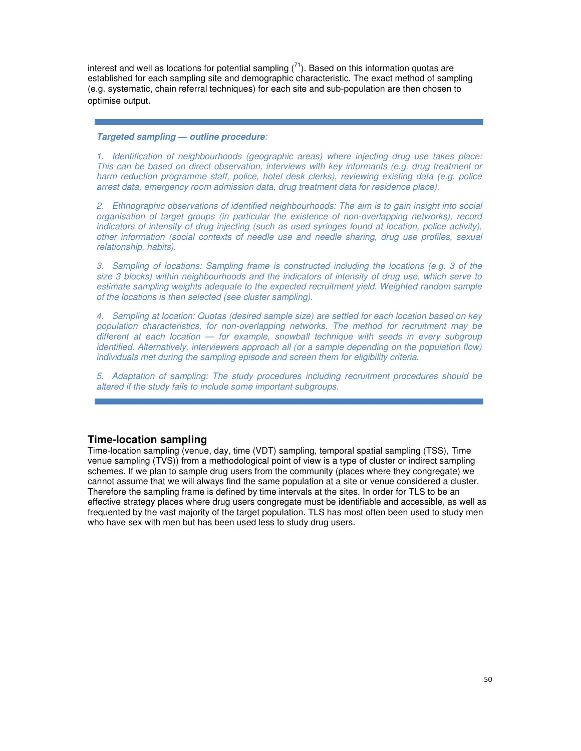interest and well as locations for potential sampling  $(71)$ . Based on this information quotas are established for each sampling site and demographic characteristic. The exact method of sampling (e.g. systematic, chain referral techniques) for each site and sub-population are then chosen to optimise output.

#### **Targeted sampling — outline procedure**:

1. Identification of neighbourhoods (geographic areas) where injecting drug use takes place: This can be based on direct observation, interviews with key informants (e.g. drug treatment or harm reduction programme staff, police, hotel desk clerks), reviewing existing data (e.g. police arrest data, emergency room admission data, drug treatment data for residence place).

2. Ethnographic observations of identified neighbourhoods: The aim is to gain insight into social organisation of target groups (in particular the existence of non-overlapping networks), record indicators of intensity of drug injecting (such as used syringes found at location, police activity), other information (social contexts of needle use and needle sharing, drug use profiles, sexual relationship, habits).

3. Sampling of locations: Sampling frame is constructed including the locations (e.g. 3 of the size 3 blocks) within neighbourhoods and the indicators of intensity of drug use, which serve to estimate sampling weights adequate to the expected recruitment yield. Weighted random sample of the locations is then selected (see cluster sampling).

4. Sampling at location: Quotas (desired sample size) are settled for each location based on key population characteristics, for non-overlapping networks. The method for recruitment may be different at each location — for example, snowball technique with seeds in every subgroup identified. Alternatively, interviewers approach all (or a sample depending on the population flow) individuals met during the sampling episode and screen them for eligibility criteria.

5. Adaptation of sampling: The study procedures including recruitment procedures should be altered if the study fails to include some important subgroups.

### **Time-location sampling**

Time-location sampling (venue, day, time (VDT) sampling, temporal spatial sampling (TSS), Time venue sampling (TVS)) from a methodological point of view is a type of cluster or indirect sampling schemes. If we plan to sample drug users from the community (places where they congregate) we cannot assume that we will always find the same population at a site or venue considered a cluster. Therefore the sampling frame is defined by time intervals at the sites. In order for TLS to be an effective strategy places where drug users congregate must be identifiable and accessible, as well as frequented by the vast majority of the target population. TLS has most often been used to study men who have sex with men but has been used less to study drug users.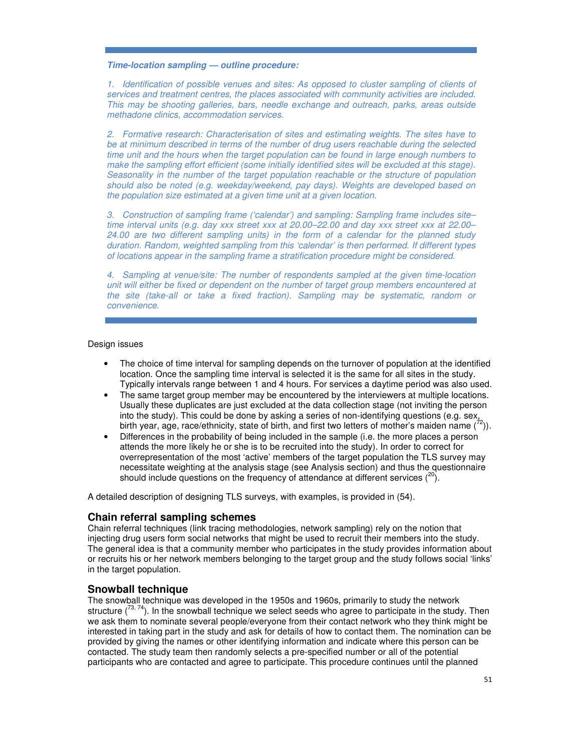#### **Time-location sampling — outline procedure:**

1. Identification of possible venues and sites: As opposed to cluster sampling of clients of services and treatment centres, the places associated with community activities are included. This may be shooting galleries, bars, needle exchange and outreach, parks, areas outside methadone clinics, accommodation services.

2. Formative research: Characterisation of sites and estimating weights. The sites have to be at minimum described in terms of the number of drug users reachable during the selected time unit and the hours when the target population can be found in large enough numbers to make the sampling effort efficient (some initially identified sites will be excluded at this stage). Seasonality in the number of the target population reachable or the structure of population should also be noted (e.g. weekday/weekend, pay days). Weights are developed based on the population size estimated at a given time unit at a given location.

3. Construction of sampling frame ('calendar') and sampling: Sampling frame includes site– time interval units (e.g. day xxx street xxx at 20.00–22.00 and day xxx street xxx at 22.00– 24.00 are two different sampling units) in the form of a calendar for the planned study duration. Random, weighted sampling from this 'calendar' is then performed. If different types of locations appear in the sampling frame a stratification procedure might be considered.

4. Sampling at venue/site: The number of respondents sampled at the given time-location unit will either be fixed or dependent on the number of target group members encountered at the site (take-all or take a fixed fraction). Sampling may be systematic, random or convenience.

### Design issues

- The choice of time interval for sampling depends on the turnover of population at the identified location. Once the sampling time interval is selected it is the same for all sites in the study. Typically intervals range between 1 and 4 hours. For services a daytime period was also used.
- The same target group member may be encountered by the interviewers at multiple locations. Usually these duplicates are just excluded at the data collection stage (not inviting the person into the study). This could be done by asking a series of non-identifying questions (e.g. sex, birth year, age, race/ethnicity, state of birth, and first two letters of mother's maiden name  $(^{72})$ ).
- Differences in the probability of being included in the sample (i.e. the more places a person attends the more likely he or she is to be recruited into the study). In order to correct for overrepresentation of the most 'active' members of the target population the TLS survey may necessitate weighting at the analysis stage (see Analysis section) and thus the questionnaire should include questions on the frequency of attendance at different services  $(20)$ .

A detailed description of designing TLS surveys, with examples, is provided in (54).

### **Chain referral sampling schemes**

Chain referral techniques (link tracing methodologies, network sampling) rely on the notion that injecting drug users form social networks that might be used to recruit their members into the study. The general idea is that a community member who participates in the study provides information about or recruits his or her network members belonging to the target group and the study follows social 'links' in the target population.

### **Snowball technique**

The snowball technique was developed in the 1950s and 1960s, primarily to study the network structure  $(^{73, 74})$ . In the snowball technique we select seeds who agree to participate in the study. Then we ask them to nominate several people/everyone from their contact network who they think might be interested in taking part in the study and ask for details of how to contact them. The nomination can be provided by giving the names or other identifying information and indicate where this person can be contacted. The study team then randomly selects a pre-specified number or all of the potential participants who are contacted and agree to participate. This procedure continues until the planned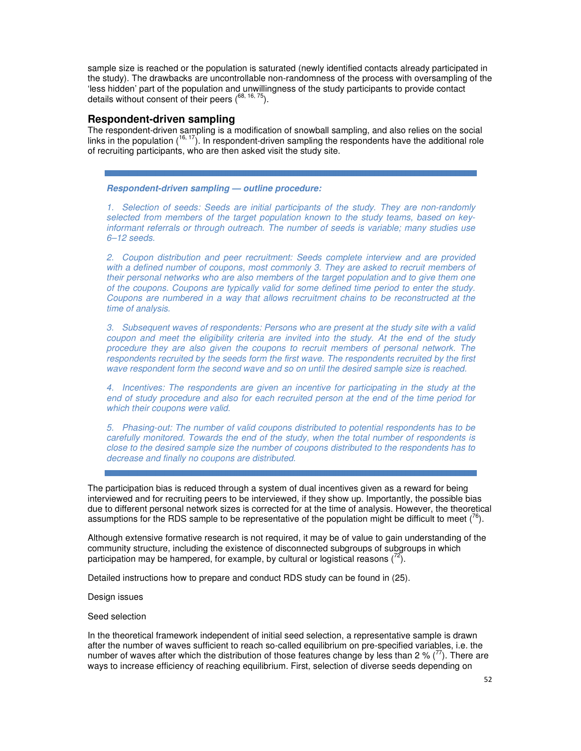sample size is reached or the population is saturated (newly identified contacts already participated in the study). The drawbacks are uncontrollable non-randomness of the process with oversampling of the 'less hidden' part of the population and unwillingness of the study participants to provide contact details without consent of their peers  $(^{68, 16, 75})$ .

### **Respondent-driven sampling**

The respondent-driven sampling is a modification of snowball sampling, and also relies on the social links in the population (<sup>16, 17</sup>). In respondent-driven sampling the respondents have the additional role of recruiting participants, who are then asked visit the study site.

### **Respondent-driven sampling — outline procedure:**

1. Selection of seeds: Seeds are initial participants of the study. They are non-randomly selected from members of the target population known to the study teams, based on keyinformant referrals or through outreach. The number of seeds is variable; many studies use 6–12 seeds.

2. Coupon distribution and peer recruitment: Seeds complete interview and are provided with a defined number of coupons, most commonly 3. They are asked to recruit members of their personal networks who are also members of the target population and to give them one of the coupons. Coupons are typically valid for some defined time period to enter the study. Coupons are numbered in a way that allows recruitment chains to be reconstructed at the time of analysis.

3. Subsequent waves of respondents: Persons who are present at the study site with a valid coupon and meet the eligibility criteria are invited into the study. At the end of the study procedure they are also given the coupons to recruit members of personal network. The respondents recruited by the seeds form the first wave. The respondents recruited by the first wave respondent form the second wave and so on until the desired sample size is reached.

4. Incentives: The respondents are given an incentive for participating in the study at the end of study procedure and also for each recruited person at the end of the time period for which their coupons were valid.

5. Phasing-out: The number of valid coupons distributed to potential respondents has to be carefully monitored. Towards the end of the study, when the total number of respondents is close to the desired sample size the number of coupons distributed to the respondents has to decrease and finally no coupons are distributed.

The participation bias is reduced through a system of dual incentives given as a reward for being interviewed and for recruiting peers to be interviewed, if they show up. Importantly, the possible bias due to different personal network sizes is corrected for at the time of analysis. However, the theoretical assumptions for the RDS sample to be representative of the population might be difficult to meet  $(^{6})$ .

Although extensive formative research is not required, it may be of value to gain understanding of the community structure, including the existence of disconnected subgroups of subgroups in which participation may be hampered, for example, by cultural or logistical reasons  $(^{72})$ .

Detailed instructions how to prepare and conduct RDS study can be found in (25).

Design issues

Seed selection

In the theoretical framework independent of initial seed selection, a representative sample is drawn after the number of waves sufficient to reach so-called equilibrium on pre-specified variables, i.e. the number of waves after which the distribution of those features change by less than 2 % ( $^{77}$ ). There are ways to increase efficiency of reaching equilibrium. First, selection of diverse seeds depending on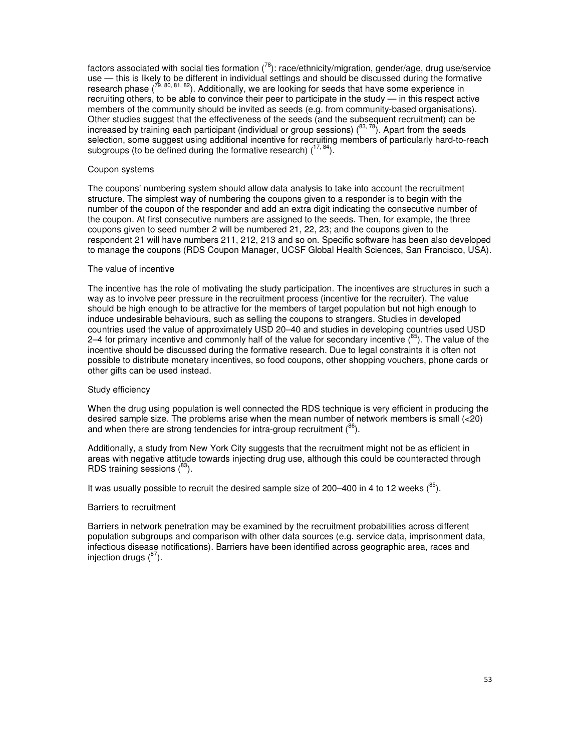factors associated with social ties formation  $(^{78})$ : race/ethnicity/migration, gender/age, drug use/service use — this is likely to be different in individual settings and should be discussed during the formative research phase  $(79, 80, 81, 82)$ . Additionally, we are looking for seeds that have some experience in recruiting others, to be able to convince their peer to participate in the study — in this respect active members of the community should be invited as seeds (e.g. from community-based organisations). Other studies suggest that the effectiveness of the seeds (and the subsequent recruitment) can be increased by training each participant (individual or group sessions)  $(^{83, 78})$ . Apart from the seeds selection, some suggest using additional incentive for recruiting members of particularly hard-to-reach subgroups (to be defined during the formative research)  $(17, 84)$ .

#### Coupon systems

The coupons' numbering system should allow data analysis to take into account the recruitment structure. The simplest way of numbering the coupons given to a responder is to begin with the number of the coupon of the responder and add an extra digit indicating the consecutive number of the coupon. At first consecutive numbers are assigned to the seeds. Then, for example, the three coupons given to seed number 2 will be numbered 21, 22, 23; and the coupons given to the respondent 21 will have numbers 211, 212, 213 and so on. Specific software has been also developed to manage the coupons (RDS Coupon Manager, UCSF Global Health Sciences, San Francisco, USA).

#### The value of incentive

The incentive has the role of motivating the study participation. The incentives are structures in such a way as to involve peer pressure in the recruitment process (incentive for the recruiter). The value should be high enough to be attractive for the members of target population but not high enough to induce undesirable behaviours, such as selling the coupons to strangers. Studies in developed countries used the value of approximately USD 20–40 and studies in developing countries used USD 2–4 for primary incentive and commonly half of the value for secondary incentive  $(^{85})$ . The value of the incentive should be discussed during the formative research. Due to legal constraints it is often not possible to distribute monetary incentives, so food coupons, other shopping vouchers, phone cards or other gifts can be used instead.

#### Study efficiency

When the drug using population is well connected the RDS technique is very efficient in producing the desired sample size. The problems arise when the mean number of network members is small (<20) and when there are strong tendencies for intra-group recruitment  $(86)$ .

Additionally, a study from New York City suggests that the recruitment might not be as efficient in areas with negative attitude towards injecting drug use, although this could be counteracted through RDS training sessions  $(^{83})$ .

It was usually possible to recruit the desired sample size of 200–400 in 4 to 12 weeks  $(^{85})$ .

#### Barriers to recruitment

Barriers in network penetration may be examined by the recruitment probabilities across different population subgroups and comparison with other data sources (e.g. service data, imprisonment data, infectious disease notifications). Barriers have been identified across geographic area, races and injection drugs  $(^{87})$ .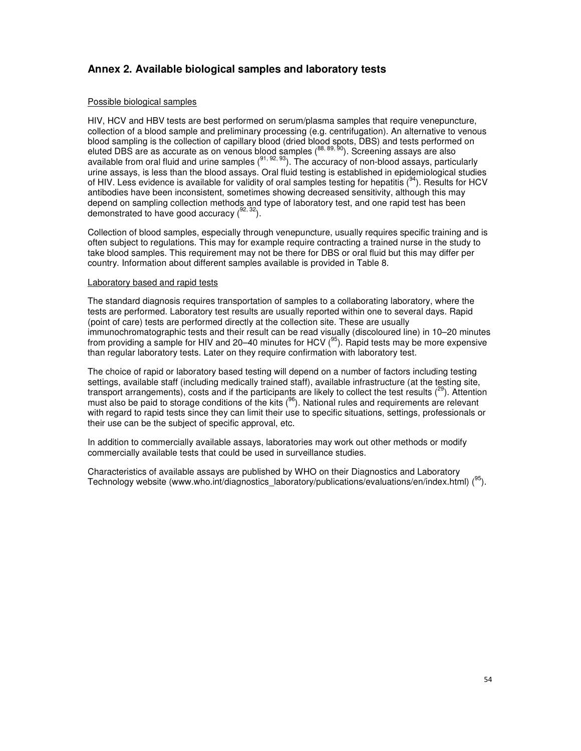# **Annex 2. Available biological samples and laboratory tests**

### Possible biological samples

HIV, HCV and HBV tests are best performed on serum/plasma samples that require venepuncture, collection of a blood sample and preliminary processing (e.g. centrifugation). An alternative to venous blood sampling is the collection of capillary blood (dried blood spots, DBS) and tests performed on eluted DBS are as accurate as on venous blood samples ( $88, 89, 90$ ). Screening assays are also available from oral fluid and urine samples  $(91, 92, 93)$ . The accuracy of non-blood assays, particularly urine assays, is less than the blood assays. Oral fluid testing is established in epidemiological studies of HIV. Less evidence is available for validity of oral samples testing for hepatitis  $(^{94})$ . Results for HCV antibodies have been inconsistent, sometimes showing decreased sensitivity, although this may depend on sampling collection methods and type of laboratory test, and one rapid test has been demonstrated to have good accuracy  $(^{92, 32})$ .

Collection of blood samples, especially through venepuncture, usually requires specific training and is often subject to regulations. This may for example require contracting a trained nurse in the study to take blood samples. This requirement may not be there for DBS or oral fluid but this may differ per country. Information about different samples available is provided in Table 8.

#### Laboratory based and rapid tests

The standard diagnosis requires transportation of samples to a collaborating laboratory, where the tests are performed. Laboratory test results are usually reported within one to several days. Rapid (point of care) tests are performed directly at the collection site. These are usually immunochromatographic tests and their result can be read visually (discoloured line) in 10–20 minutes from providing a sample for HIV and 20–40 minutes for HCV  $(95)$ . Rapid tests may be more expensive than regular laboratory tests. Later on they require confirmation with laboratory test.

The choice of rapid or laboratory based testing will depend on a number of factors including testing settings, available staff (including medically trained staff), available infrastructure (at the testing site, transport arrangements), costs and if the participants are likely to collect the test results  $\binom{29}{3}$ . Attention must also be paid to storage conditions of the kits  $(96)$ . National rules and requirements are relevant with regard to rapid tests since they can limit their use to specific situations, settings, professionals or their use can be the subject of specific approval, etc.

In addition to commercially available assays, laboratories may work out other methods or modify commercially available tests that could be used in surveillance studies.

Characteristics of available assays are published by WHO on their Diagnostics and Laboratory Technology website (www.who.int/diagnostics\_laboratory/publications/evaluations/en/index.html)  $(^{95})$ .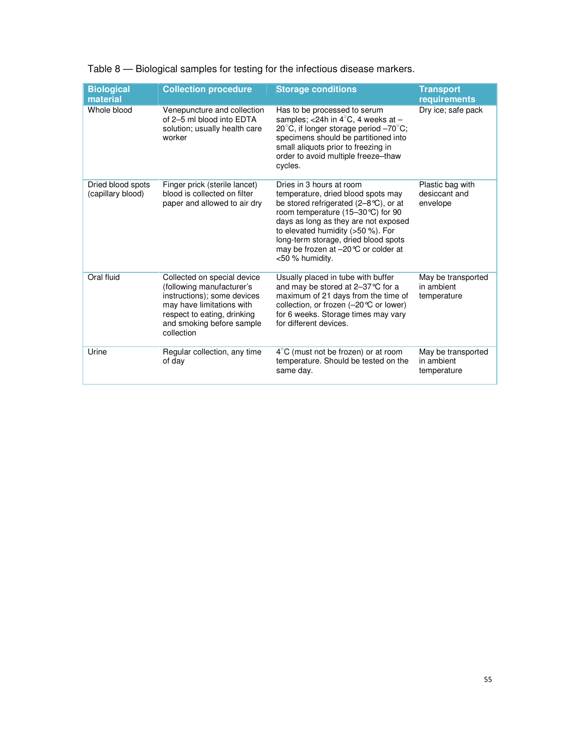| <b>Biological</b><br>material          | <b>Collection procedure</b>                                                                                                                                                                    | <b>Storage conditions</b>                                                                                                                                                                                                                                                                                                                | <b>Transport</b><br>requirements                |
|----------------------------------------|------------------------------------------------------------------------------------------------------------------------------------------------------------------------------------------------|------------------------------------------------------------------------------------------------------------------------------------------------------------------------------------------------------------------------------------------------------------------------------------------------------------------------------------------|-------------------------------------------------|
| Whole blood                            | Venepuncture and collection<br>of 2-5 ml blood into EDTA<br>solution; usually health care<br>worker                                                                                            | Has to be processed to serum<br>samples; <24h in $4^{\circ}$ C, 4 weeks at -<br>20 $^{\circ}$ C, if longer storage period $-70^{\circ}$ C;<br>specimens should be partitioned into<br>small aliquots prior to freezing in<br>order to avoid multiple freeze-thaw<br>cycles.                                                              | Dry ice; safe pack                              |
| Dried blood spots<br>(capillary blood) | Finger prick (sterile lancet)<br>blood is collected on filter<br>paper and allowed to air dry                                                                                                  | Dries in 3 hours at room<br>temperature, dried blood spots may<br>be stored refrigerated $(2-8\degree C)$ , or at<br>room temperature (15–30 ℃) for 90<br>days as long as they are not exposed<br>to elevated humidity $(>50\%)$ . For<br>long-term storage, dried blood spots<br>may be frozen at -20 ℃ or colder at<br><50 % humidity. | Plastic bag with<br>desiccant and<br>envelope   |
| Oral fluid                             | Collected on special device<br>(following manufacturer's<br>instructions); some devices<br>may have limitations with<br>respect to eating, drinking<br>and smoking before sample<br>collection | Usually placed in tube with buffer<br>and may be stored at 2-37 °C for a<br>maximum of 21 days from the time of<br>collection, or frozen (-20℃ or lower)<br>for 6 weeks. Storage times may vary<br>for different devices.                                                                                                                | May be transported<br>in ambient<br>temperature |
| Urine                                  | Regular collection, any time<br>of day                                                                                                                                                         | $4^{\circ}$ C (must not be frozen) or at room<br>temperature. Should be tested on the<br>same day.                                                                                                                                                                                                                                       | May be transported<br>in ambient<br>temperature |

# Table 8 — Biological samples for testing for the infectious disease markers.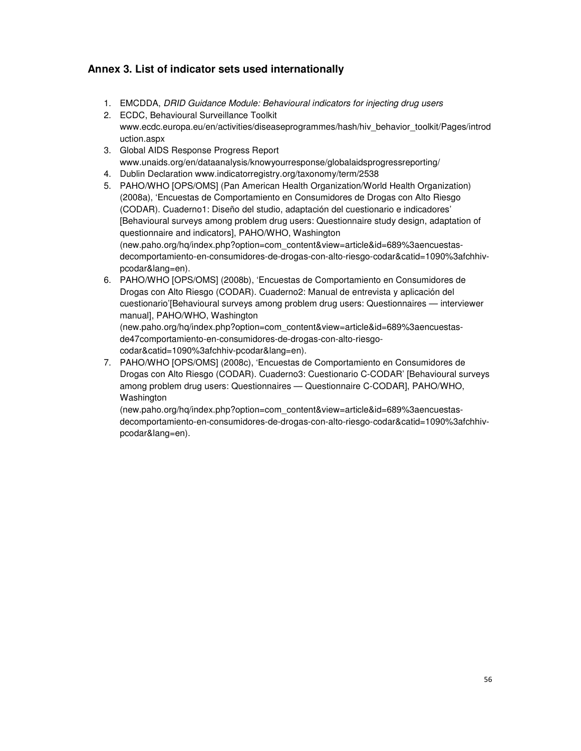# **Annex 3. List of indicator sets used internationally**

- 1. EMCDDA, DRID Guidance Module: Behavioural indicators for injecting drug users
- 2. ECDC, Behavioural Surveillance Toolkit www.ecdc.europa.eu/en/activities/diseaseprogrammes/hash/hiv\_behavior\_toolkit/Pages/introd uction.aspx
- 3. Global AIDS Response Progress Report www.unaids.org/en/dataanalysis/knowyourresponse/globalaidsprogressreporting/
- 4. Dublin Declaration www.indicatorregistry.org/taxonomy/term/2538
- 5. PAHO/WHO [OPS/OMS] (Pan American Health Organization/World Health Organization) (2008a), 'Encuestas de Comportamiento en Consumidores de Drogas con Alto Riesgo (CODAR). Cuaderno1: Diseño del studio, adaptación del cuestionario e indicadores' [Behavioural surveys among problem drug users: Questionnaire study design, adaptation of questionnaire and indicators], PAHO/WHO, Washington (new.paho.org/hq/index.php?option=com\_content&view=article&id=689%3aencuestasdecomportamiento-en-consumidores-de-drogas-con-alto-riesgo-codar&catid=1090%3afchhivpcodar&lang=en).
- 6. PAHO/WHO [OPS/OMS] (2008b), 'Encuestas de Comportamiento en Consumidores de Drogas con Alto Riesgo (CODAR). Cuaderno2: Manual de entrevista y aplicación del cuestionario'[Behavioural surveys among problem drug users: Questionnaires — interviewer manual], PAHO/WHO, Washington (new.paho.org/hq/index.php?option=com\_content&view=article&id=689%3aencuestasde47comportamiento-en-consumidores-de-drogas-con-alto-riesgo
	- codar&catid=1090%3afchhiv-pcodar&lang=en).
- 7. PAHO/WHO [OPS/OMS] (2008c), 'Encuestas de Comportamiento en Consumidores de Drogas con Alto Riesgo (CODAR). Cuaderno3: Cuestionario C-CODAR' [Behavioural surveys among problem drug users: Questionnaires — Questionnaire C-CODAR], PAHO/WHO, Washington

(new.paho.org/hq/index.php?option=com\_content&view=article&id=689%3aencuestasdecomportamiento-en-consumidores-de-drogas-con-alto-riesgo-codar&catid=1090%3afchhivpcodar&lang=en).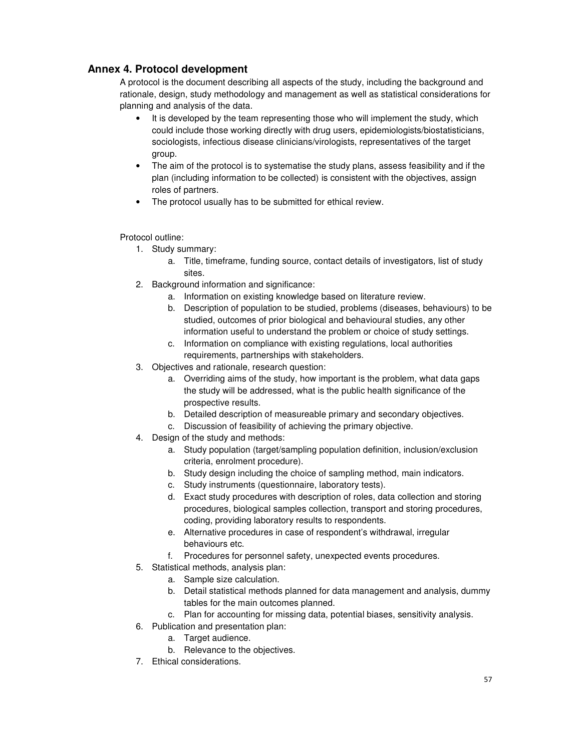# **Annex 4. Protocol development**

A protocol is the document describing all aspects of the study, including the background and rationale, design, study methodology and management as well as statistical considerations for planning and analysis of the data.

- It is developed by the team representing those who will implement the study, which could include those working directly with drug users, epidemiologists/biostatisticians, sociologists, infectious disease clinicians/virologists, representatives of the target group.
- The aim of the protocol is to systematise the study plans, assess feasibility and if the plan (including information to be collected) is consistent with the objectives, assign roles of partners.
- The protocol usually has to be submitted for ethical review.

### Protocol outline:

- 1. Study summary:
	- a. Title, timeframe, funding source, contact details of investigators, list of study sites.
- 2. Background information and significance:
	- a. Information on existing knowledge based on literature review.
	- b. Description of population to be studied, problems (diseases, behaviours) to be studied, outcomes of prior biological and behavioural studies, any other information useful to understand the problem or choice of study settings.
	- c. Information on compliance with existing regulations, local authorities requirements, partnerships with stakeholders.
- 3. Objectives and rationale, research question:
	- a. Overriding aims of the study, how important is the problem, what data gaps the study will be addressed, what is the public health significance of the prospective results.
	- b. Detailed description of measureable primary and secondary objectives.
	- c. Discussion of feasibility of achieving the primary objective.
- 4. Design of the study and methods:
	- a. Study population (target/sampling population definition, inclusion/exclusion criteria, enrolment procedure).
	- b. Study design including the choice of sampling method, main indicators.
	- c. Study instruments (questionnaire, laboratory tests).
	- d. Exact study procedures with description of roles, data collection and storing procedures, biological samples collection, transport and storing procedures, coding, providing laboratory results to respondents.
	- e. Alternative procedures in case of respondent's withdrawal, irregular behaviours etc.
	- f. Procedures for personnel safety, unexpected events procedures.
- 5. Statistical methods, analysis plan:
	- a. Sample size calculation.
	- b. Detail statistical methods planned for data management and analysis, dummy tables for the main outcomes planned.
	- c. Plan for accounting for missing data, potential biases, sensitivity analysis.
- 6. Publication and presentation plan:
	- a. Target audience.
	- b. Relevance to the objectives.
- 7. Ethical considerations.